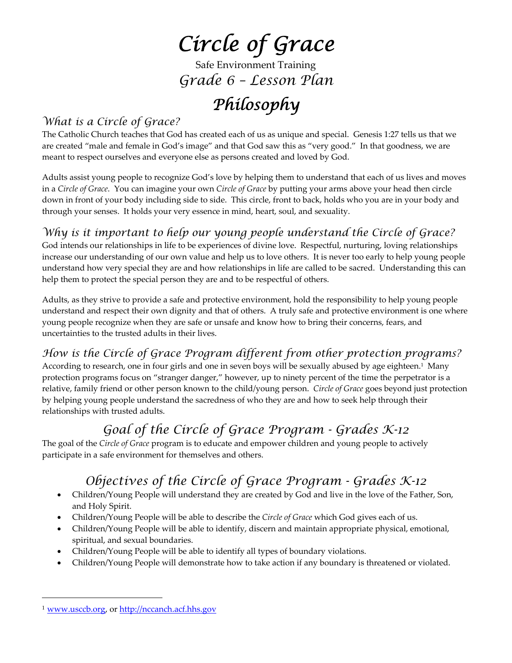# *Circle of Grace*

Safe Environment Training *Grade 6 – Lesson Plan* 

# *Philosophy*

# *What is a Circle of Grace?*

The Catholic Church teaches that God has created each of us as unique and special. Genesis 1:27 tells us that we are created "male and female in God's image" and that God saw this as "very good." In that goodness, we are meant to respect ourselves and everyone else as persons created and loved by God.

Adults assist young people to recognize God's love by helping them to understand that each of us lives and moves in a *Circle of Grace*. You can imagine your own *Circle of Grace* by putting your arms above your head then circle down in front of your body including side to side. This circle, front to back, holds who you are in your body and through your senses. It holds your very essence in mind, heart, soul, and sexuality.

# *Why is it important to help our young people understand the Circle of Grace?*

God intends our relationships in life to be experiences of divine love. Respectful, nurturing, loving relationships increase our understanding of our own value and help us to love others. It is never too early to help young people understand how very special they are and how relationships in life are called to be sacred. Understanding this can help them to protect the special person they are and to be respectful of others.

Adults, as they strive to provide a safe and protective environment, hold the responsibility to help young people understand and respect their own dignity and that of others. A truly safe and protective environment is one where young people recognize when they are safe or unsafe and know how to bring their concerns, fears, and uncertainties to the trusted adults in their lives.

# *How is the Circle of Grace Program different from other protection programs?*

According to research, one in four girls and one in seven boys will be sexually abused by age eighteen.<sup>1</sup> Many protection programs focus on "stranger danger," however, up to ninety percent of the time the perpetrator is a relative, family friend or other person known to the child/young person. *Circle of Grace* goes beyond just protection by helping young people understand the sacredness of who they are and how to seek help through their relationships with trusted adults.

# *Goal of the Circle of Grace Program - Grades K-12*

The goal of the *Circle of Grace* program is to educate and empower children and young people to actively participate in a safe environment for themselves and others.

# *Objectives of the Circle of Grace Program - Grades K-12*

- Children/Young People will understand they are created by God and live in the love of the Father, Son, and Holy Spirit.
- Children/Young People will be able to describe the *Circle of Grace* which God gives each of us.
- Children/Young People will be able to identify, discern and maintain appropriate physical, emotional, spiritual, and sexual boundaries.
- Children/Young People will be able to identify all types of boundary violations.
- Children/Young People will demonstrate how to take action if any boundary is threatened or violated.

 $\overline{a}$ 

<sup>1</sup> www.usccb.org, or http://nccanch.acf.hhs.gov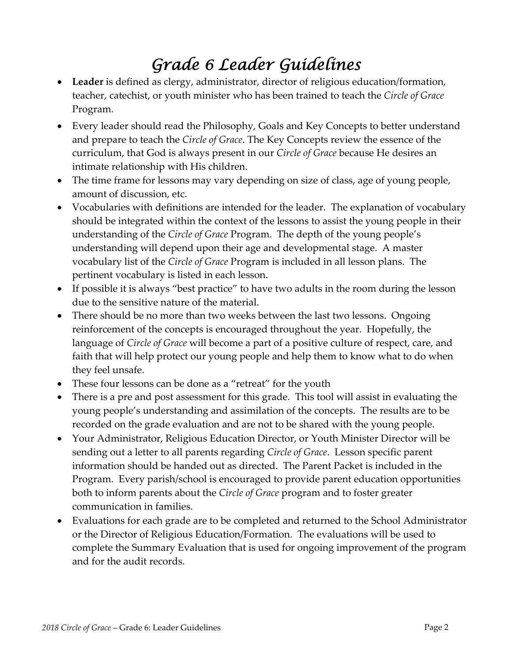# *Grade 6 Leader Guidelines*

- **Leader** is defined as clergy, administrator, director of religious education/formation, teacher, catechist, or youth minister who has been trained to teach the *Circle of Grace* Program.
- Every leader should read the Philosophy, Goals and Key Concepts to better understand and prepare to teach the *Circle of Grace*. The Key Concepts review the essence of the curriculum, that God is always present in our *Circle of Grace* because He desires an intimate relationship with His children.
- The time frame for lessons may vary depending on size of class, age of young people, amount of discussion, etc.
- Vocabularies with definitions are intended for the leader. The explanation of vocabulary should be integrated within the context of the lessons to assist the young people in their understanding of the *Circle of Grace* Program. The depth of the young people's understanding will depend upon their age and developmental stage. A master vocabulary list of the *Circle of Grace* Program is included in all lesson plans. The pertinent vocabulary is listed in each lesson.
- If possible it is always "best practice" to have two adults in the room during the lesson due to the sensitive nature of the material.
- There should be no more than two weeks between the last two lessons. Ongoing reinforcement of the concepts is encouraged throughout the year. Hopefully, the language of *Circle of Grace* will become a part of a positive culture of respect, care, and faith that will help protect our young people and help them to know what to do when they feel unsafe.
- These four lessons can be done as a "retreat" for the youth
- There is a pre and post assessment for this grade. This tool will assist in evaluating the young people's understanding and assimilation of the concepts. The results are to be recorded on the grade evaluation and are not to be shared with the young people.
- Your Administrator, Religious Education Director, or Youth Minister Director will be sending out a letter to all parents regarding *Circle of Grace*. Lesson specific parent information should be handed out as directed. The Parent Packet is included in the Program. Every parish/school is encouraged to provide parent education opportunities both to inform parents about the *Circle of Grace* program and to foster greater communication in families.
- Evaluations for each grade are to be completed and returned to the School Administrator or the Director of Religious Education/Formation. The evaluations will be used to complete the Summary Evaluation that is used for ongoing improvement of the program and for the audit records.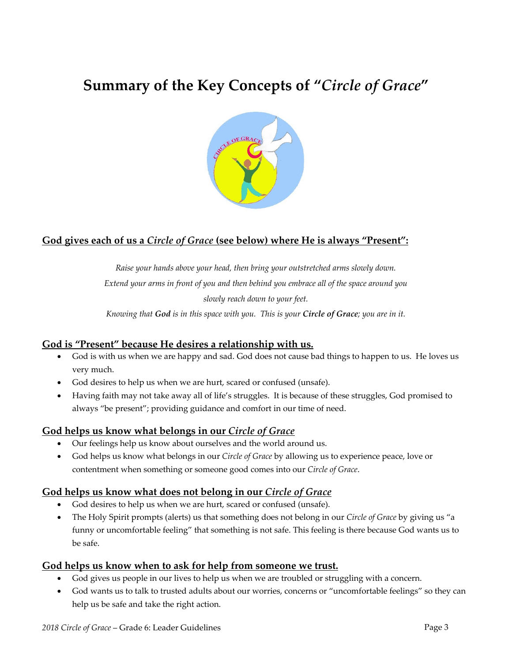# **Summary of the Key Concepts of "***Circle of Grace***"**



#### **God gives each of us a** *Circle of Grace* **(see below) where He is always "Present":**

*Raise your hands above your head, then bring your outstretched arms slowly down. Extend your arms in front of you and then behind you embrace all of the space around you slowly reach down to your feet.*

Knowing that God is in this space with you. This is your Circle of Grace; you are in it.

#### **God is "Present" because He desires a relationship with us.**

- God is with us when we are happy and sad. God does not cause bad things to happen to us. He loves us very much.
- God desires to help us when we are hurt, scared or confused (unsafe).
- Having faith may not take away all of life's struggles. It is because of these struggles, God promised to always "be present"; providing guidance and comfort in our time of need.

#### **God helps us know what belongs in our** *Circle of Grace*

- Our feelings help us know about ourselves and the world around us.
- God helps us know what belongs in our *Circle of Grace* by allowing us to experience peace, love or contentment when something or someone good comes into our *Circle of Grace*.

#### **God helps us know what does not belong in our** *Circle of Grace*

- God desires to help us when we are hurt, scared or confused (unsafe).
- The Holy Spirit prompts (alerts) us that something does not belong in our *Circle of Grace* by giving us "a funny or uncomfortable feeling" that something is not safe. This feeling is there because God wants us to be safe.

#### **God helps us know when to ask for help from someone we trust.**

- God gives us people in our lives to help us when we are troubled or struggling with a concern.
- God wants us to talk to trusted adults about our worries, concerns or "uncomfortable feelings" so they can help us be safe and take the right action.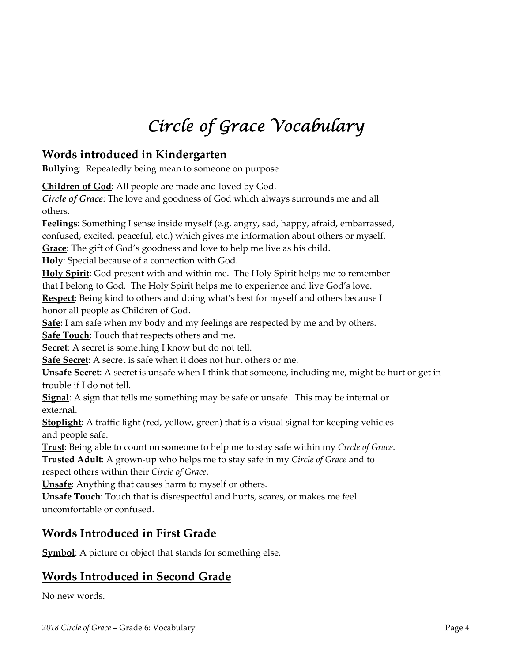# *Circle of Grace Vocabulary*

## **Words introduced in Kindergarten**

**Bullying:** Repeatedly being mean to someone on purpose

**Children of God**: All people are made and loved by God.

*Circle of Grace*: The love and goodness of God which always surrounds me and all others.

**Feelings**: Something I sense inside myself (e.g. angry, sad, happy, afraid, embarrassed, confused, excited, peaceful, etc.) which gives me information about others or myself.

**Grace**: The gift of God's goodness and love to help me live as his child.

**Holy**: Special because of a connection with God.

**Holy Spirit**: God present with and within me. The Holy Spirit helps me to remember that I belong to God. The Holy Spirit helps me to experience and live God's love.

**Respect**: Being kind to others and doing what's best for myself and others because I honor all people as Children of God.

**Safe**: I am safe when my body and my feelings are respected by me and by others.

**Safe Touch**: Touch that respects others and me.

**Secret**: A secret is something I know but do not tell.

**Safe Secret**: A secret is safe when it does not hurt others or me.

**Unsafe Secret**: A secret is unsafe when I think that someone, including me, might be hurt or get in trouble if I do not tell.

**Signal**: A sign that tells me something may be safe or unsafe. This may be internal or external.

**Stoplight**: A traffic light (red, yellow, green) that is a visual signal for keeping vehicles and people safe.

**Trust**: Being able to count on someone to help me to stay safe within my *Circle of Grace*.

**Trusted Adult**: A grown‐up who helps me to stay safe in my *Circle of Grace* and to respect others within their *Circle of Grace*.

**Unsafe**: Anything that causes harm to myself or others.

**Unsafe Touch**: Touch that is disrespectful and hurts, scares, or makes me feel uncomfortable or confused.

## **Words Introduced in First Grade**

**Symbol**: A picture or object that stands for something else.

# **Words Introduced in Second Grade**

No new words.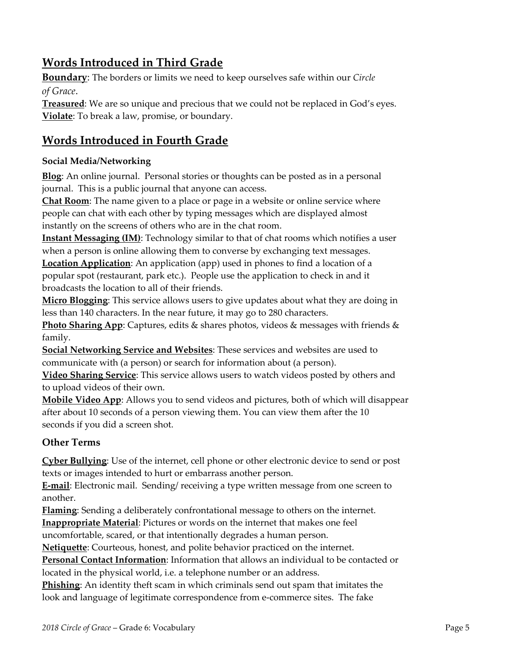# **Words Introduced in Third Grade**

**Boundary**: The borders or limits we need to keep ourselves safe within our *Circle of Grace*.

**Treasured**: We are so unique and precious that we could not be replaced in God's eyes. **Violate**: To break a law, promise, or boundary.

# **Words Introduced in Fourth Grade**

#### **Social Media/Networking**

**Blog**: An online journal. Personal stories or thoughts can be posted as in a personal journal. This is a public journal that anyone can access.

**Chat Room**: The name given to a place or page in a website or online service where people can chat with each other by typing messages which are displayed almost instantly on the screens of others who are in the chat room.

**Instant Messaging (IM)**: Technology similar to that of chat rooms which notifies a user when a person is online allowing them to converse by exchanging text messages.

**Location Application**: An application (app) used in phones to find a location of a popular spot (restaurant, park etc.). People use the application to check in and it broadcasts the location to all of their friends.

**Micro Blogging**: This service allows users to give updates about what they are doing in less than 140 characters. In the near future, it may go to 280 characters.

**Photo Sharing App**: Captures, edits & shares photos, videos & messages with friends & family.

**Social Networking Service and Websites**: These services and websites are used to communicate with (a person) or search for information about (a person).

**Video Sharing Service**: This service allows users to watch videos posted by others and to upload videos of their own.

**Mobile Video App**: Allows you to send videos and pictures, both of which will disappear after about 10 seconds of a person viewing them. You can view them after the 10 seconds if you did a screen shot.

#### **Other Terms**

**Cyber Bullying**: Use of the internet, cell phone or other electronic device to send or post texts or images intended to hurt or embarrass another person.

**E‐mail**: Electronic mail. Sending/ receiving a type written message from one screen to another.

**Flaming**: Sending a deliberately confrontational message to others on the internet. **Inappropriate Material**: Pictures or words on the internet that makes one feel

uncomfortable, scared, or that intentionally degrades a human person.

**Netiquette**: Courteous, honest, and polite behavior practiced on the internet.

**Personal Contact Information**: Information that allows an individual to be contacted or located in the physical world, i.e. a telephone number or an address.

**Phishing**: An identity theft scam in which criminals send out spam that imitates the look and language of legitimate correspondence from e‐commerce sites. The fake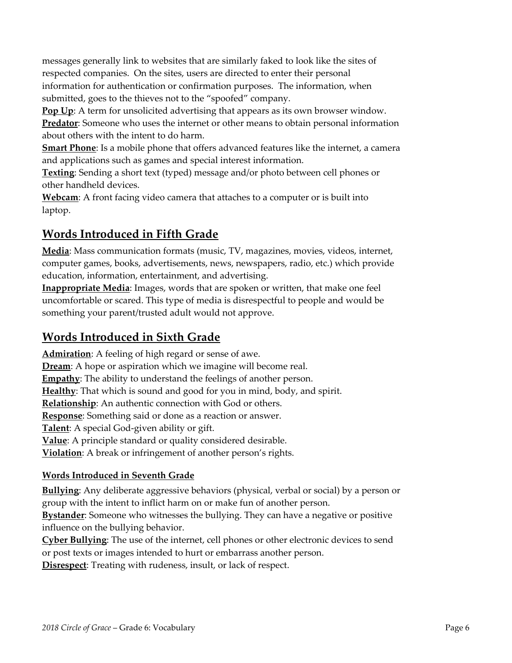messages generally link to websites that are similarly faked to look like the sites of respected companies. On the sites, users are directed to enter their personal information for authentication or confirmation purposes. The information, when submitted, goes to the thieves not to the "spoofed" company.

**Pop Up**: A term for unsolicited advertising that appears as its own browser window. **Predator**: Someone who uses the internet or other means to obtain personal information about others with the intent to do harm.

**Smart Phone**: Is a mobile phone that offers advanced features like the internet, a camera and applications such as games and special interest information.

**Texting**: Sending a short text (typed) message and/or photo between cell phones or other handheld devices.

**Webcam**: A front facing video camera that attaches to a computer or is built into laptop.

# **Words Introduced in Fifth Grade**

**Media**: Mass communication formats (music, TV, magazines, movies, videos, internet, computer games, books, advertisements, news, newspapers, radio, etc.) which provide education, information, entertainment, and advertising.

**Inappropriate Media**: Images, words that are spoken or written, that make one feel uncomfortable or scared. This type of media is disrespectful to people and would be something your parent/trusted adult would not approve.

# **Words Introduced in Sixth Grade**

**Admiration**: A feeling of high regard or sense of awe. **Dream**: A hope or aspiration which we imagine will become real. **Empathy**: The ability to understand the feelings of another person. **Healthy**: That which is sound and good for you in mind, body, and spirit. **Relationship**: An authentic connection with God or others. **Response**: Something said or done as a reaction or answer. **Talent**: A special God‐given ability or gift. **Value**: A principle standard or quality considered desirable. **Violation**: A break or infringement of another person's rights.

#### **Words Introduced in Seventh Grade**

**Bullying**: Any deliberate aggressive behaviors (physical, verbal or social) by a person or group with the intent to inflict harm on or make fun of another person.

**Bystander**: Someone who witnesses the bullying. They can have a negative or positive influence on the bullying behavior.

**Cyber Bullying**: The use of the internet, cell phones or other electronic devices to send or post texts or images intended to hurt or embarrass another person.

**Disrespect**: Treating with rudeness, insult, or lack of respect.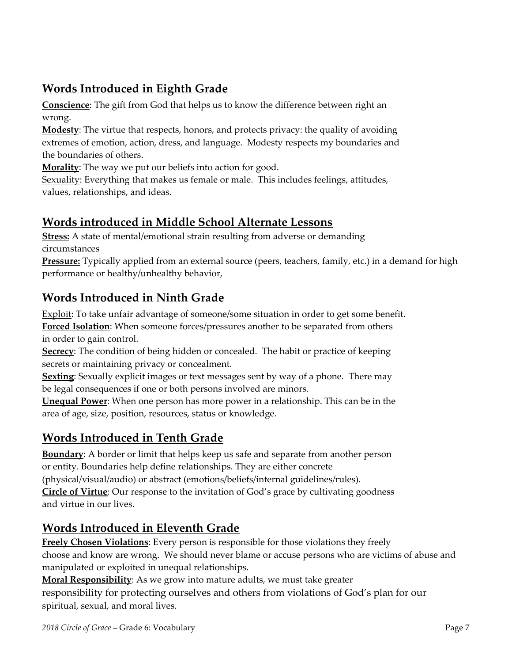# **Words Introduced in Eighth Grade**

**Conscience**: The gift from God that helps us to know the difference between right an wrong.

**Modesty**: The virtue that respects, honors, and protects privacy: the quality of avoiding extremes of emotion, action, dress, and language. Modesty respects my boundaries and the boundaries of others.

**Morality**: The way we put our beliefs into action for good.

Sexuality: Everything that makes us female or male. This includes feelings, attitudes, values, relationships, and ideas.

# **Words introduced in Middle School Alternate Lessons**

**Stress:** A state of mental/emotional strain resulting from adverse or demanding circumstances

**Pressure:** Typically applied from an external source (peers, teachers, family, etc.) in a demand for high performance or healthy/unhealthy behavior,

# **Words Introduced in Ninth Grade**

Exploit: To take unfair advantage of someone/some situation in order to get some benefit. **Forced Isolation**: When someone forces/pressures another to be separated from others in order to gain control.

**Secrecy**: The condition of being hidden or concealed. The habit or practice of keeping secrets or maintaining privacy or concealment.

**Sexting**: Sexually explicit images or text messages sent by way of a phone. There may be legal consequences if one or both persons involved are minors.

**Unequal Power**: When one person has more power in a relationship. This can be in the area of age, size, position, resources, status or knowledge.

# **Words Introduced in Tenth Grade**

**Boundary**: A border or limit that helps keep us safe and separate from another person or entity. Boundaries help define relationships. They are either concrete (physical/visual/audio) or abstract (emotions/beliefs/internal guidelines/rules). **Circle of Virtue**: Our response to the invitation of God's grace by cultivating goodness

# and virtue in our lives.

# **Words Introduced in Eleventh Grade**

**Freely Chosen Violations**: Every person is responsible for those violations they freely choose and know are wrong. We should never blame or accuse persons who are victims of abuse and manipulated or exploited in unequal relationships.

**Moral Responsibility**: As we grow into mature adults, we must take greater

responsibility for protecting ourselves and others from violations of God's plan for our spiritual, sexual, and moral lives.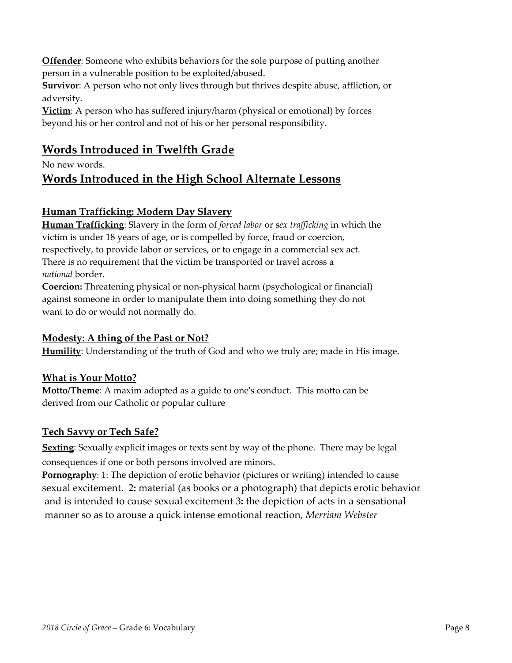**Offender**: Someone who exhibits behaviors for the sole purpose of putting another person in a vulnerable position to be exploited/abused.

**Survivor**: A person who not only lives through but thrives despite abuse, affliction, or adversity.

**Victim**: A person who has suffered injury/harm (physical or emotional) by forces beyond his or her control and not of his or her personal responsibility.

# **Words Introduced in Twelfth Grade**

No new words.

# **Words Introduced in the High School Alternate Lessons**

#### **Human Trafficking: Modern Day Slavery**

**Human Trafficking**: Slavery in the form of *forced labor* or s*ex trafficking* in which the victim is under 18 years of age, or is compelled by force, fraud or coercion, respectively, to provide labor or services, or to engage in a commercial sex act. There is no requirement that the victim be transported or travel across a *national* border.

**Coercion:** Threatening physical or non-physical harm (psychological or financial) against someone in order to manipulate them into doing something they do not want to do or would not normally do.

#### **Modesty: A thing of the Past or Not?**

**Humility**: Understanding of the truth of God and who we truly are; made in His image.

#### **What is Your Motto?**

**Motto/Theme**: A maxim adopted as a guide to oneʹs conduct. This motto can be derived from our Catholic or popular culture

#### **Tech Savvy or Tech Safe?**

**Sexting**: Sexually explicit images or texts sent by way of the phone. There may be legal consequences if one or both persons involved are minors.

**Pornography**: 1: The depiction of erotic behavior (pictures or writing) intended to cause sexual excitement. 2**:** material (as books or a photograph) that depicts erotic behavior and is intended to cause sexual excitement 3**:** the depiction of acts in a sensational manner so as to arouse a quick intense emotional reaction, *Merriam Webster*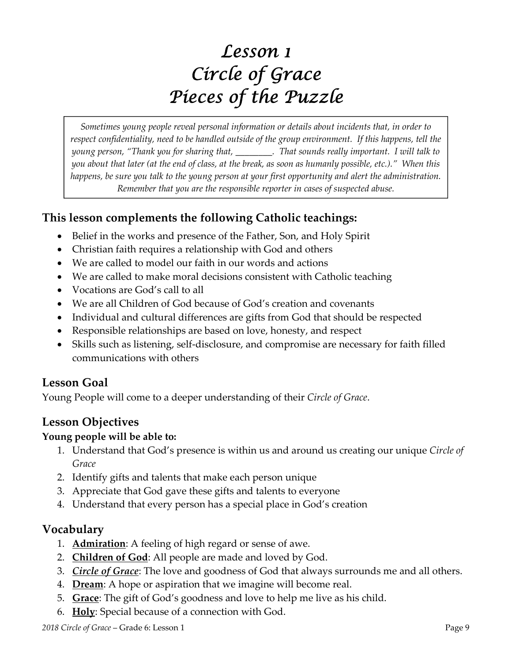# *Lesson 1 Circle of Grace Pieces of the Puzzle*

*Sometimes young people reveal personal information or details about incidents that, in order to respect confidentiality, need to be handled outside of the group environment. If this happens, tell the* young person, "Thank you for sharing that, \_\_\_\_\_\_\_\_\_. That sounds really important. I will talk to you about that later (at the end of class, at the break, as soon as humanly possible, etc.)." When this happens, be sure you talk to the young person at your first opportunity and alert the administration. *Remember that you are the responsible reporter in cases of suspected abuse.*

# **This lesson complements the following Catholic teachings:**

- Belief in the works and presence of the Father, Son, and Holy Spirit
- Christian faith requires a relationship with God and others
- We are called to model our faith in our words and actions
- We are called to make moral decisions consistent with Catholic teaching
- Vocations are God's call to all
- We are all Children of God because of God's creation and covenants
- Individual and cultural differences are gifts from God that should be respected
- Responsible relationships are based on love, honesty, and respect
- Skills such as listening, self‐disclosure, and compromise are necessary for faith filled communications with others

#### **Lesson Goal**

Young People will come to a deeper understanding of their *Circle of Grace*.

## **Lesson Objectives**

#### **Young people will be able to:**

- 1. Understand that God's presence is within us and around us creating our unique *Circle of Grace*
- 2. Identify gifts and talents that make each person unique
- 3. Appreciate that God gave these gifts and talents to everyone
- 4. Understand that every person has a special place in God's creation

#### **Vocabulary**

- 1. **Admiration**: A feeling of high regard or sense of awe.
- 2. **Children of God**: All people are made and loved by God.
- 3. *Circle of Grace*: The love and goodness of God that always surrounds me and all others.
- 4. **Dream**: A hope or aspiration that we imagine will become real.
- 5. **Grace**: The gift of God's goodness and love to help me live as his child.
- 6. **Holy**: Special because of a connection with God.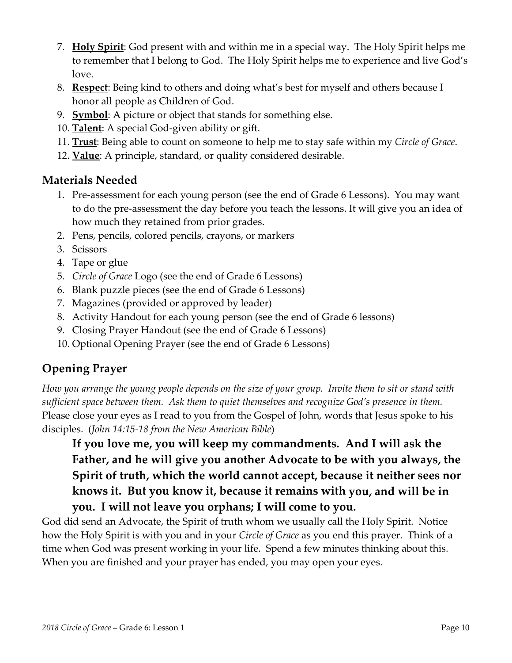- 7. **Holy Spirit**: God present with and within me in a special way. The Holy Spirit helps me to remember that I belong to God. The Holy Spirit helps me to experience and live God's love.
- 8. **Respect**: Being kind to others and doing what's best for myself and others because I honor all people as Children of God.
- 9. **Symbol**: A picture or object that stands for something else.
- 10. **Talent**: A special God‐given ability or gift.
- 11. **Trust**: Being able to count on someone to help me to stay safe within my *Circle of Grace*.
- 12. **Value**: A principle, standard, or quality considered desirable.

# **Materials Needed**

- 1. Pre‐assessment for each young person (see the end of Grade 6 Lessons). You may want to do the pre‐assessment the day before you teach the lessons. It will give you an idea of how much they retained from prior grades.
- 2. Pens, pencils, colored pencils, crayons, or markers
- 3. Scissors
- 4. Tape or glue
- 5. *Circle of Grace* Logo (see the end of Grade 6 Lessons)
- 6. Blank puzzle pieces (see the end of Grade 6 Lessons)
- 7. Magazines (provided or approved by leader)
- 8. Activity Handout for each young person (see the end of Grade 6 lessons)
- 9. Closing Prayer Handout (see the end of Grade 6 Lessons)
- 10. Optional Opening Prayer (see the end of Grade 6 Lessons)

# **Opening Prayer**

How you arrange the young people depends on the size of your group. Invite them to sit or stand with *sufficient space between them. Ask them to quiet themselves and recognize God's presence in them.* Please close your eyes as I read to you from the Gospel of John, words that Jesus spoke to his disciples. (*John 14:15‐18 from the New American Bible*)

**If you love me, you will keep my commandments. And I will ask the Father, and he will give you another Advocate to be with you always, the Spirit of truth, which the world cannot accept, because it neither sees nor knows it. But you know it, because it remains with you, and will be in you. I will not leave you orphans; I will come to you.**

God did send an Advocate, the Spirit of truth whom we usually call the Holy Spirit. Notice how the Holy Spirit is with you and in your *Circle of Grace* as you end this prayer. Think of a time when God was present working in your life. Spend a few minutes thinking about this. When you are finished and your prayer has ended, you may open your eyes.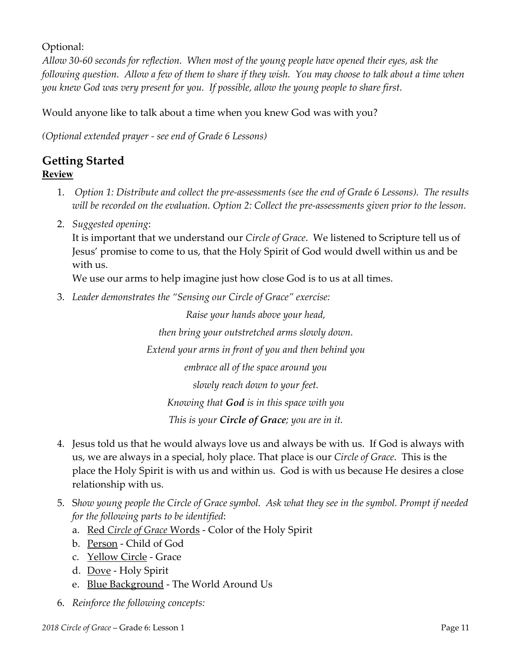#### Optional:

Allow 30-60 seconds for reflection. When most of the young people have opened their eyes, ask the following question. Allow a few of them to share if they wish. You may choose to talk about a time when *you knew God was very present for you. If possible, allow the young people to share first.*

Would anyone like to talk about a time when you knew God was with you?

*(Optional extended prayer ‐ see end of Grade 6 Lessons)*

#### **Getting Started Review**

- 1. Option 1: Distribute and collect the pre-assessments (see the end of Grade 6 Lessons). The results will be recorded on the evaluation. Option 2: Collect the pre-assessments given prior to the lesson.
- 2. *Suggested opening*:

It is important that we understand our *Circle of Grace*. We listened to Scripture tell us of Jesus' promise to come to us, that the Holy Spirit of God would dwell within us and be with us.

We use our arms to help imagine just how close God is to us at all times.

3. *Leader demonstrates the "Sensing our Circle of Grace" exercise:*

*Raise your hands above your head, then bring your outstretched arms slowly down. Extend your arms in front of you and then behind you embrace all of the space around you slowly reach down to your feet. Knowing that God is in this space with you This is your Circle of Grace; you are in it.*

- 4. Jesus told us that he would always love us and always be with us. If God is always with us, we are always in a special, holy place. That place is our *Circle of Grace*. This is the place the Holy Spirit is with us and within us. God is with us because He desires a close relationship with us.
- 5. Show young people the Circle of Grace symbol. Ask what they see in the symbol. Prompt if needed *for the following parts to be identified*:
	- a. Red *Circle of Grace* Words ‐ Color of the Holy Spirit
	- b. Person ‐ Child of God
	- c. Yellow Circle ‐ Grace
	- d. Dove ‐ Holy Spirit
	- e. Blue Background ‐ The World Around Us
- 6. *Reinforce the following concepts:*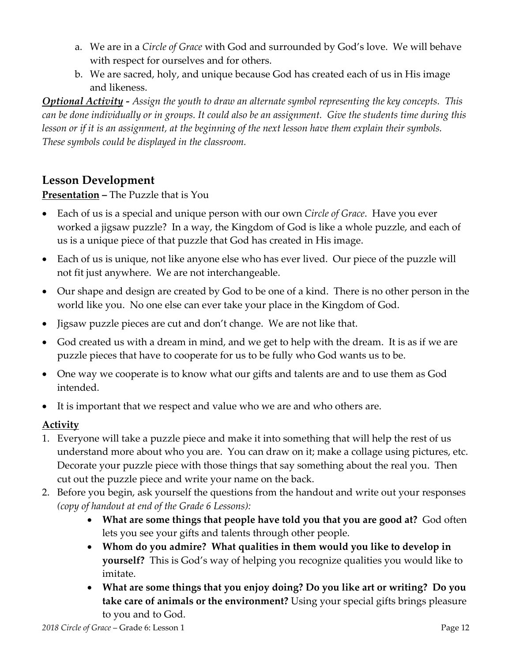- a. We are in a *Circle of Grace* with God and surrounded by God's love. We will behave with respect for ourselves and for others.
- b. We are sacred, holy, and unique because God has created each of us in His image and likeness.

*Optional Activity ‐ Assign the youth to draw an alternate symbol representing the key concepts. This* can be done individually or in groups. It could also be an assignment. Give the students time during this lesson or if it is an assignment, at the beginning of the next lesson have them explain their symbols. *These symbols could be displayed in the classroom.*

# **Lesson Development**

#### **Presentation –** The Puzzle that is You

- Each of us is a special and unique person with our own *Circle of Grace*. Have you ever worked a jigsaw puzzle? In a way, the Kingdom of God is like a whole puzzle, and each of us is a unique piece of that puzzle that God has created in His image.
- Each of us is unique, not like anyone else who has ever lived. Our piece of the puzzle will not fit just anywhere. We are not interchangeable.
- Our shape and design are created by God to be one of a kind. There is no other person in the world like you. No one else can ever take your place in the Kingdom of God.
- Jigsaw puzzle pieces are cut and don't change. We are not like that.
- God created us with a dream in mind, and we get to help with the dream. It is as if we are puzzle pieces that have to cooperate for us to be fully who God wants us to be.
- One way we cooperate is to know what our gifts and talents are and to use them as God intended.
- It is important that we respect and value who we are and who others are.

## **Activity**

- 1. Everyone will take a puzzle piece and make it into something that will help the rest of us understand more about who you are. You can draw on it; make a collage using pictures, etc. Decorate your puzzle piece with those things that say something about the real you. Then cut out the puzzle piece and write your name on the back.
- 2. Before you begin, ask yourself the questions from the handout and write out your responses *(copy of handout at end of the Grade 6 Lessons):*
	- **What are some things that people have told you that you are good at?** God often lets you see your gifts and talents through other people.
	- **Whom do you admire? What qualities in them would you like to develop in yourself?** This is God's way of helping you recognize qualities you would like to imitate.
	- **What are some things that you enjoy doing? Do you like art or writing? Do you take care of animals or the environment?** Using your special gifts brings pleasure to you and to God.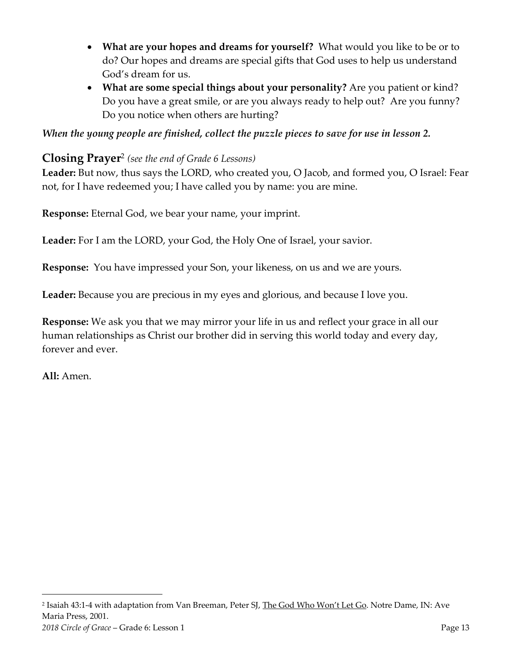- **What are your hopes and dreams for yourself?** What would you like to be or to do? Our hopes and dreams are special gifts that God uses to help us understand God's dream for us.
- **What are some special things about your personality?** Are you patient or kind? Do you have a great smile, or are you always ready to help out? Are you funny? Do you notice when others are hurting?

*When the young people are finished, collect the puzzle pieces to save for use in lesson 2.*

#### **Closing Prayer**<sup>2</sup> *(see the end of Grade 6 Lessons)*

**Leader:** But now, thus says the LORD, who created you, O Jacob, and formed you, O Israel: Fear not, for I have redeemed you; I have called you by name: you are mine.

**Response:** Eternal God, we bear your name, your imprint.

**Leader:** For I am the LORD, your God, the Holy One of Israel, your savior.

**Response:** You have impressed your Son, your likeness, on us and we are yours.

**Leader:** Because you are precious in my eyes and glorious, and because I love you.

**Response:** We ask you that we may mirror your life in us and reflect your grace in all our human relationships as Christ our brother did in serving this world today and every day, forever and ever.

**All:** Amen.

 $\overline{a}$ 

<sup>&</sup>lt;sup>2</sup> Isaiah 43:1-4 with adaptation from Van Breeman, Peter SJ, The God Who Won't Let Go. Notre Dame, IN: Ave Maria Press, 2001.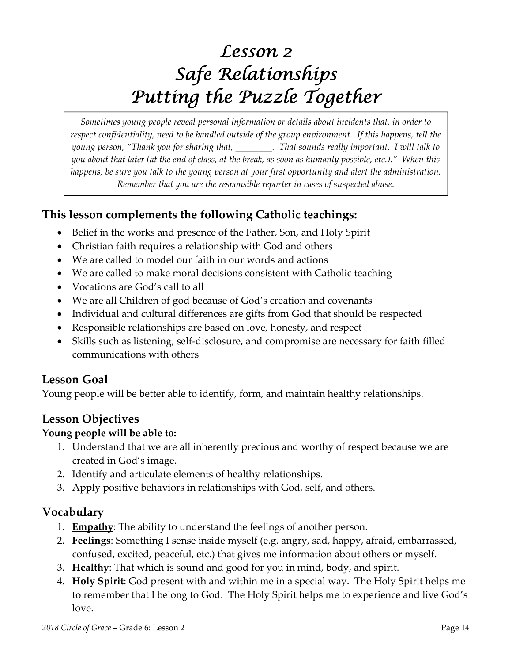# *Lesson 2 Safe Relationships Putting the Puzzle Together*

*Sometimes young people reveal personal information or details about incidents that, in order to respect confidentiality, need to be handled outside of the group environment. If this happens, tell the* young person, "Thank you for sharing that, \_\_\_\_\_\_\_\_\_. That sounds really important. I will talk to you about that later (at the end of class, at the break, as soon as humanly possible, etc.)." When this happens, be sure you talk to the young person at your first opportunity and alert the administration. *Remember that you are the responsible reporter in cases of suspected abuse.*

# **This lesson complements the following Catholic teachings:**

- Belief in the works and presence of the Father, Son, and Holy Spirit
- Christian faith requires a relationship with God and others
- We are called to model our faith in our words and actions
- We are called to make moral decisions consistent with Catholic teaching
- Vocations are God's call to all
- We are all Children of god because of God's creation and covenants
- Individual and cultural differences are gifts from God that should be respected
- Responsible relationships are based on love, honesty, and respect
- Skills such as listening, self‐disclosure, and compromise are necessary for faith filled communications with others

## **Lesson Goal**

Young people will be better able to identify, form, and maintain healthy relationships.

## **Lesson Objectives**

#### **Young people will be able to:**

- 1. Understand that we are all inherently precious and worthy of respect because we are created in God's image.
- 2. Identify and articulate elements of healthy relationships.
- 3. Apply positive behaviors in relationships with God, self, and others.

## **Vocabulary**

- 1. **Empathy**: The ability to understand the feelings of another person.
- 2. **Feelings**: Something I sense inside myself (e.g. angry, sad, happy, afraid, embarrassed, confused, excited, peaceful, etc.) that gives me information about others or myself.
- 3. **Healthy**: That which is sound and good for you in mind, body, and spirit.
- 4. **Holy Spirit**: God present with and within me in a special way. The Holy Spirit helps me to remember that I belong to God. The Holy Spirit helps me to experience and live God's love.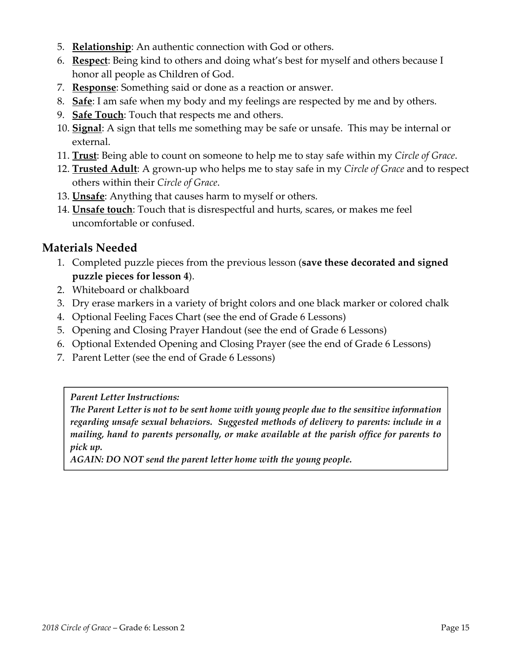- 5. **Relationship**: An authentic connection with God or others.
- 6. **Respect**: Being kind to others and doing what's best for myself and others because I honor all people as Children of God.
- 7. **Response**: Something said or done as a reaction or answer.
- 8. **Safe**: I am safe when my body and my feelings are respected by me and by others.
- 9. **Safe Touch**: Touch that respects me and others.
- 10. **Signal**: A sign that tells me something may be safe or unsafe. This may be internal or external.
- 11. **Trust**: Being able to count on someone to help me to stay safe within my *Circle of Grace*.
- 12. **Trusted Adult**: A grown‐up who helps me to stay safe in my *Circle of Grace* and to respect others within their *Circle of Grace*.
- 13. **Unsafe**: Anything that causes harm to myself or others.
- 14. **Unsafe touch**: Touch that is disrespectful and hurts, scares, or makes me feel uncomfortable or confused.

## **Materials Needed**

- 1. Completed puzzle pieces from the previous lesson (**save these decorated and signed puzzle pieces for lesson 4**).
- 2. Whiteboard or chalkboard
- 3. Dry erase markers in a variety of bright colors and one black marker or colored chalk
- 4. Optional Feeling Faces Chart (see the end of Grade 6 Lessons)
- 5. Opening and Closing Prayer Handout (see the end of Grade 6 Lessons)
- 6. Optional Extended Opening and Closing Prayer (see the end of Grade 6 Lessons)
- 7. Parent Letter (see the end of Grade 6 Lessons)

#### *Parent Letter Instructions:*

*The Parent Letter is not to be sent home with young people due to the sensitive information regarding unsafe sexual behaviors. Suggested methods of delivery to parents: include in a mailing, hand to parents personally, or make available at the parish office for parents to pick up.*

*AGAIN: DO NOT send the parent letter home with the young people.*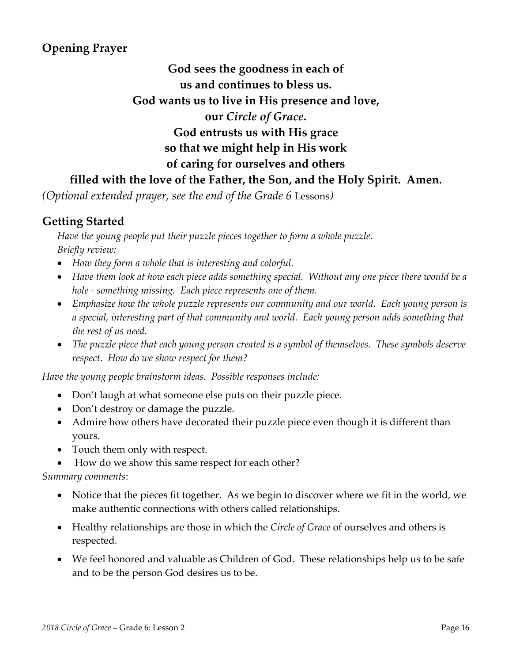# **Opening Prayer**

**God sees the goodness in each of us and continues to bless us. God wants us to live in His presence and love, our** *Circle of Grace***. God entrusts us with His grace so that we might help in His work of caring for ourselves and others filled with the love of the Father, the Son, and the Holy Spirit. Amen.**

*(Optional extended prayer, see the end of the Grade 6* Lessons*)*

# **Getting Started**

*Have the young people put their puzzle pieces together to form a whole puzzle. Briefly review:*

- *How they form a whole that is interesting and colorful.*
- Have them look at how each piece adds something special. Without any one piece there would be a *hole ‐ something missing. Each piece represents one of them.*
- *Emphasize how the whole puzzle represents our community and our world. Each young person is a special, interesting part of that community and world. Each young person adds something that the rest of us need.*
- *The puzzle piece that each young person created is a symbol of themselves. These symbols deserve respect. How do we show respect for them?*

*Have the young people brainstorm ideas. Possible responses include:*

- Don't laugh at what someone else puts on their puzzle piece.
- Don't destroy or damage the puzzle.
- Admire how others have decorated their puzzle piece even though it is different than yours.
- Touch them only with respect.
- How do we show this same respect for each other?

#### *Summary comments*:

- Notice that the pieces fit together. As we begin to discover where we fit in the world, we make authentic connections with others called relationships.
- Healthy relationships are those in which the *Circle of Grace* of ourselves and others is respected.
- We feel honored and valuable as Children of God. These relationships help us to be safe and to be the person God desires us to be.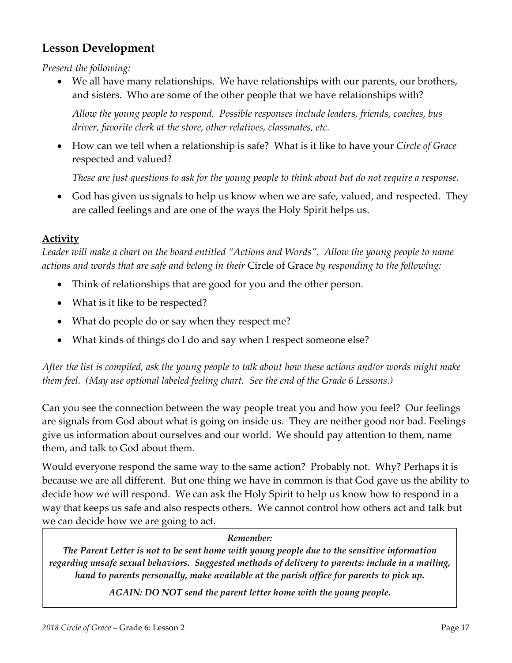# **Lesson Development**

*Present the following:*

 We all have many relationships. We have relationships with our parents, our brothers, and sisters. Who are some of the other people that we have relationships with?

*Allow the young people to respond. Possible responses include leaders, friends, coaches, bus driver, favorite clerk at the store, other relatives, classmates, etc.*

 How can we tell when a relationship is safe? What is it like to have your *Circle of Grace* respected and valued?

These are just questions to ask for the young people to think about but do not require a response.

 God has given us signals to help us know when we are safe, valued, and respected. They are called feelings and are one of the ways the Holy Spirit helps us.

#### **Activity**

Leader will make a chart on the board entitled "Actions and Words". Allow the young people to name *actions and words that are safe and belong in their* Circle of Grace *by responding to the following:*

- Think of relationships that are good for you and the other person.
- What is it like to be respected?
- What do people do or say when they respect me?
- What kinds of things do I do and say when I respect someone else?

After the list is compiled, ask the young people to talk about how these actions and/or words might make *them feel. (May use optional labeled feeling chart. See the end of the Grade 6 Lessons.)*

Can you see the connection between the way people treat you and how you feel? Our feelings are signals from God about what is going on inside us. They are neither good nor bad. Feelings give us information about ourselves and our world. We should pay attention to them, name them, and talk to God about them.

Would everyone respond the same way to the same action? Probably not. Why? Perhaps it is because we are all different. But one thing we have in common is that God gave us the ability to decide how we will respond. We can ask the Holy Spirit to help us know how to respond in a way that keeps us safe and also respects others. We cannot control how others act and talk but we can decide how we are going to act.

#### *Remember:*

*The Parent Letter is not to be sent home with young people due to the sensitive information regarding unsafe sexual behaviors. Suggested methods of delivery to parents: include in a mailing, hand to parents personally, make available at the parish office for parents to pick up.*

*AGAIN: DO NOT send the parent letter home with the young people.*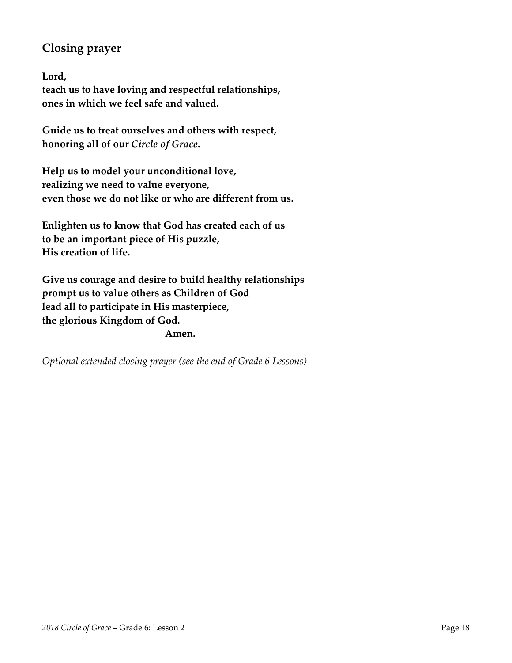# **Closing prayer**

**Lord, teach us to have loving and respectful relationships, ones in which we feel safe and valued.**

**Guide us to treat ourselves and others with respect, honoring all of our** *Circle of Grace***.**

**Help us to model your unconditional love, realizing we need to value everyone, even those we do not like or who are different from us.**

**Enlighten us to know that God has created each of us to be an important piece of His puzzle, His creation of life.**

**Give us courage and desire to build healthy relationships prompt us to value others as Children of God lead all to participate in His masterpiece, the glorious Kingdom of God.** 

 **Amen.**

*Optional extended closing prayer (see the end of Grade 6 Lessons)*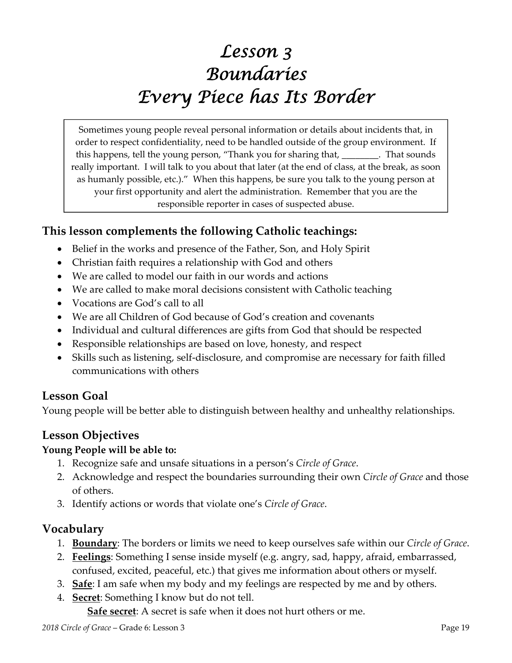# *Lesson 3 Boundaries Every Piece has Its Border*

Sometimes young people reveal personal information or details about incidents that, in order to respect confidentiality, need to be handled outside of the group environment. If this happens, tell the young person, "Thank you for sharing that, \_\_\_\_\_\_\_\_. That sounds really important. I will talk to you about that later (at the end of class, at the break, as soon as humanly possible, etc.)." When this happens, be sure you talk to the young person at your first opportunity and alert the administration. Remember that you are the responsible reporter in cases of suspected abuse.

# **This lesson complements the following Catholic teachings:**

- Belief in the works and presence of the Father, Son, and Holy Spirit
- Christian faith requires a relationship with God and others
- We are called to model our faith in our words and actions
- We are called to make moral decisions consistent with Catholic teaching
- Vocations are God's call to all
- We are all Children of God because of God's creation and covenants
- Individual and cultural differences are gifts from God that should be respected
- Responsible relationships are based on love, honesty, and respect
- Skills such as listening, self‐disclosure, and compromise are necessary for faith filled communications with others

## **Lesson Goal**

Young people will be better able to distinguish between healthy and unhealthy relationships.

## **Lesson Objectives**

#### **Young People will be able to:**

- 1. Recognize safe and unsafe situations in a person's *Circle of Grace*.
- 2. Acknowledge and respect the boundaries surrounding their own *Circle of Grace* and those of others.
- 3. Identify actions or words that violate one's *Circle of Grace*.

## **Vocabulary**

- 1. **Boundary**: The borders or limits we need to keep ourselves safe within our *Circle of Grace*.
- 2. **Feelings**: Something I sense inside myself (e.g. angry, sad, happy, afraid, embarrassed, confused, excited, peaceful, etc.) that gives me information about others or myself.
- 3. **Safe**: I am safe when my body and my feelings are respected by me and by others.
- 4. **Secret**: Something I know but do not tell.

**Safe secret**: A secret is safe when it does not hurt others or me.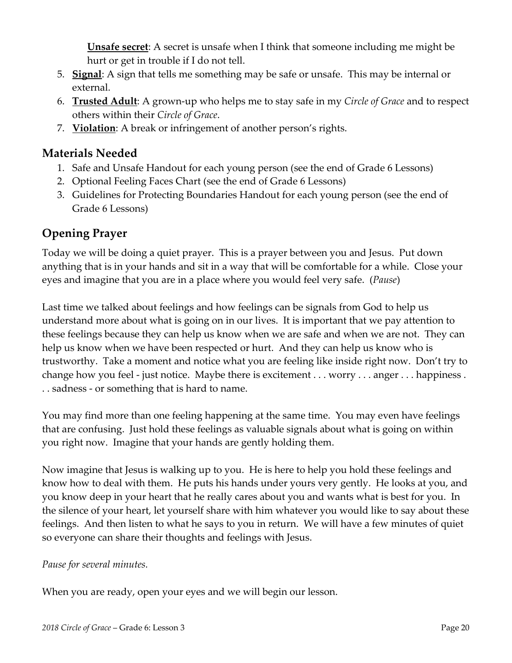**Unsafe secret**: A secret is unsafe when I think that someone including me might be hurt or get in trouble if I do not tell.

- 5. **Signal**: A sign that tells me something may be safe or unsafe. This may be internal or external.
- 6. **Trusted Adult**: A grown‐up who helps me to stay safe in my *Circle of Grace* and to respect others within their *Circle of Grace*.
- 7. **Violation**: A break or infringement of another person's rights.

# **Materials Needed**

- 1. Safe and Unsafe Handout for each young person (see the end of Grade 6 Lessons)
- 2. Optional Feeling Faces Chart (see the end of Grade 6 Lessons)
- 3. Guidelines for Protecting Boundaries Handout for each young person (see the end of Grade 6 Lessons)

# **Opening Prayer**

Today we will be doing a quiet prayer. This is a prayer between you and Jesus. Put down anything that is in your hands and sit in a way that will be comfortable for a while. Close your eyes and imagine that you are in a place where you would feel very safe. (*Pause*)

Last time we talked about feelings and how feelings can be signals from God to help us understand more about what is going on in our lives. It is important that we pay attention to these feelings because they can help us know when we are safe and when we are not. They can help us know when we have been respected or hurt. And they can help us know who is trustworthy. Take a moment and notice what you are feeling like inside right now. Don't try to change how you feel ‐ just notice. Maybe there is excitement . . . worry . . . anger . . . happiness . . . sadness ‐ or something that is hard to name.

You may find more than one feeling happening at the same time. You may even have feelings that are confusing. Just hold these feelings as valuable signals about what is going on within you right now. Imagine that your hands are gently holding them.

Now imagine that Jesus is walking up to you. He is here to help you hold these feelings and know how to deal with them. He puts his hands under yours very gently. He looks at you, and you know deep in your heart that he really cares about you and wants what is best for you. In the silence of your heart, let yourself share with him whatever you would like to say about these feelings. And then listen to what he says to you in return. We will have a few minutes of quiet so everyone can share their thoughts and feelings with Jesus.

#### *Pause for several minutes.*

When you are ready, open your eyes and we will begin our lesson.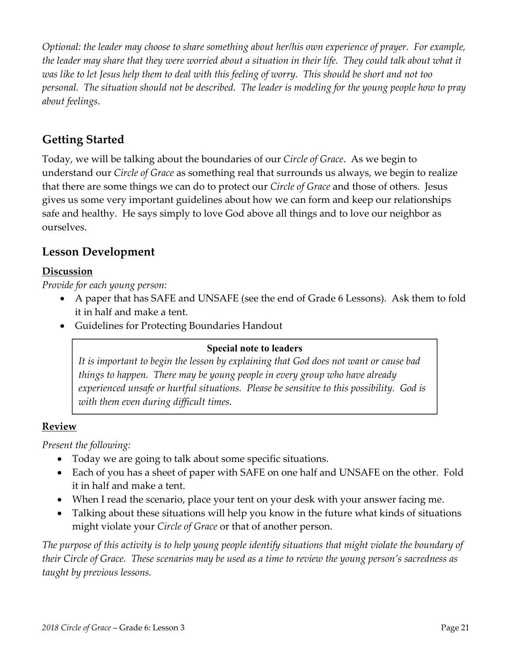*Optional: the leader may choose to share something about her/his own experience of prayer. For example,* the leader may share that they were worried about a situation in their life. They could talk about what it was like to let Jesus help them to deal with this feeling of worry. This should be short and not too personal. The situation should not be described. The leader is modeling for the young people how to pray *about feelings.*

# **Getting Started**

Today, we will be talking about the boundaries of our *Circle of Grace*. As we begin to understand our *Circle of Grace* as something real that surrounds us always, we begin to realize that there are some things we can do to protect our *Circle of Grace* and those of others. Jesus gives us some very important guidelines about how we can form and keep our relationships safe and healthy. He says simply to love God above all things and to love our neighbor as ourselves.

# **Lesson Development**

#### **Discussion**

*Provide for each young person:*

- A paper that has SAFE and UNSAFE (see the end of Grade 6 Lessons). Ask them to fold it in half and make a tent.
- Guidelines for Protecting Boundaries Handout

#### **Special note to leaders**

*It is important to begin the lesson by explaining that God does not want or cause bad things to happen. There may be young people in every group who have already experienced unsafe or hurtful situations. Please be sensitive to this possibility. God is with them even during difficult times.*

#### **Review**

*Present the following:*

- Today we are going to talk about some specific situations.
- Each of you has a sheet of paper with SAFE on one half and UNSAFE on the other. Fold it in half and make a tent.
- When I read the scenario, place your tent on your desk with your answer facing me.
- Talking about these situations will help you know in the future what kinds of situations might violate your *Circle of Grace* or that of another person.

The purpose of this activity is to help young people identify situations that might violate the boundary of their Circle of Grace. These scenarios may be used as a time to review the young person's sacredness as *taught by previous lessons.*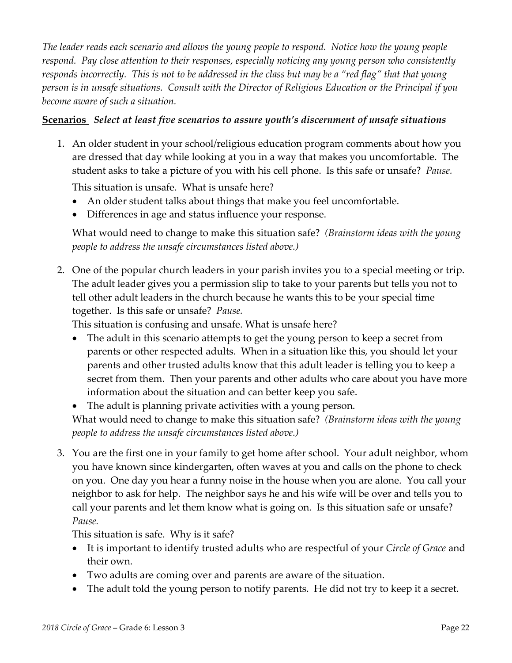The leader reads each scenario and allows the young people to respond. Notice how the young people *respond. Pay close attention to their responses, especially noticing any young person who consistently* responds incorrectly. This is not to be addressed in the class but may be a "red flag" that that young person is in unsafe situations. Consult with the Director of Religious Education or the Principal if you *become aware of such a situation.*

#### **Scenarios** *Select at least five scenarios to assure youth's discernment of unsafe situations*

1. An older student in your school/religious education program comments about how you are dressed that day while looking at you in a way that makes you uncomfortable. The student asks to take a picture of you with his cell phone. Is this safe or unsafe? *Pause.*

This situation is unsafe. What is unsafe here?

- An older student talks about things that make you feel uncomfortable.
- Differences in age and status influence your response.

What would need to change to make this situation safe? *(Brainstorm ideas with the young people to address the unsafe circumstances listed above.)*

2. One of the popular church leaders in your parish invites you to a special meeting or trip. The adult leader gives you a permission slip to take to your parents but tells you not to tell other adult leaders in the church because he wants this to be your special time together. Is this safe or unsafe? *Pause.*

This situation is confusing and unsafe. What is unsafe here?

 The adult in this scenario attempts to get the young person to keep a secret from parents or other respected adults. When in a situation like this, you should let your parents and other trusted adults know that this adult leader is telling you to keep a secret from them. Then your parents and other adults who care about you have more information about the situation and can better keep you safe.

 The adult is planning private activities with a young person. What would need to change to make this situation safe? *(Brainstorm ideas with the young people to address the unsafe circumstances listed above.)*

3. You are the first one in your family to get home after school. Your adult neighbor, whom you have known since kindergarten, often waves at you and calls on the phone to check on you. One day you hear a funny noise in the house when you are alone. You call your neighbor to ask for help. The neighbor says he and his wife will be over and tells you to call your parents and let them know what is going on. Is this situation safe or unsafe? *Pause.*

This situation is safe. Why is it safe?

- It is important to identify trusted adults who are respectful of your *Circle of Grace* and their own.
- Two adults are coming over and parents are aware of the situation.
- The adult told the young person to notify parents. He did not try to keep it a secret.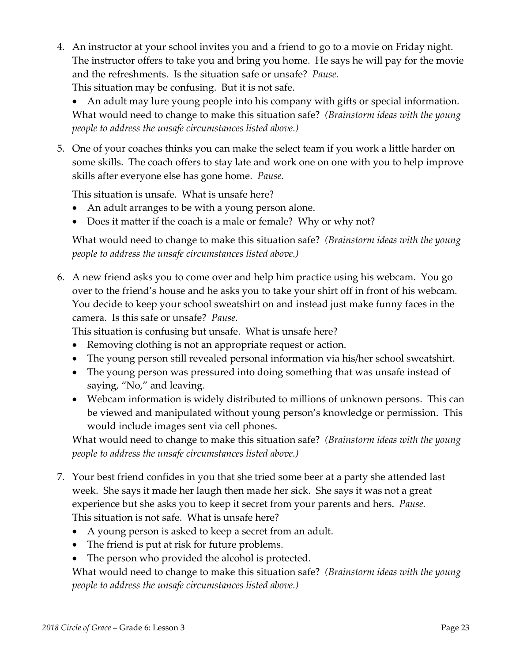4. An instructor at your school invites you and a friend to go to a movie on Friday night. The instructor offers to take you and bring you home. He says he will pay for the movie and the refreshments. Is the situation safe or unsafe? *Pause.* This situation may be confusing. But it is not safe.

 An adult may lure young people into his company with gifts or special information. What would need to change to make this situation safe? *(Brainstorm ideas with the young people to address the unsafe circumstances listed above.)*

5. One of your coaches thinks you can make the select team if you work a little harder on some skills. The coach offers to stay late and work one on one with you to help improve skills after everyone else has gone home. *Pause.*

This situation is unsafe. What is unsafe here?

- An adult arranges to be with a young person alone.
- Does it matter if the coach is a male or female? Why or why not?

What would need to change to make this situation safe? *(Brainstorm ideas with the young people to address the unsafe circumstances listed above.)*

6. A new friend asks you to come over and help him practice using his webcam. You go over to the friend's house and he asks you to take your shirt off in front of his webcam. You decide to keep your school sweatshirt on and instead just make funny faces in the camera. Is this safe or unsafe? *Pause.*

This situation is confusing but unsafe. What is unsafe here?

- Removing clothing is not an appropriate request or action.
- The young person still revealed personal information via his/her school sweatshirt.
- The young person was pressured into doing something that was unsafe instead of saying, "No," and leaving.
- Webcam information is widely distributed to millions of unknown persons. This can be viewed and manipulated without young person's knowledge or permission. This would include images sent via cell phones.

What would need to change to make this situation safe? *(Brainstorm ideas with the young people to address the unsafe circumstances listed above.)*

- 7. Your best friend confides in you that she tried some beer at a party she attended last week. She says it made her laugh then made her sick. She says it was not a great experience but she asks you to keep it secret from your parents and hers. *Pause.* This situation is not safe. What is unsafe here?
	- A young person is asked to keep a secret from an adult.
	- The friend is put at risk for future problems.
	- The person who provided the alcohol is protected.

What would need to change to make this situation safe? *(Brainstorm ideas with the young people to address the unsafe circumstances listed above.)*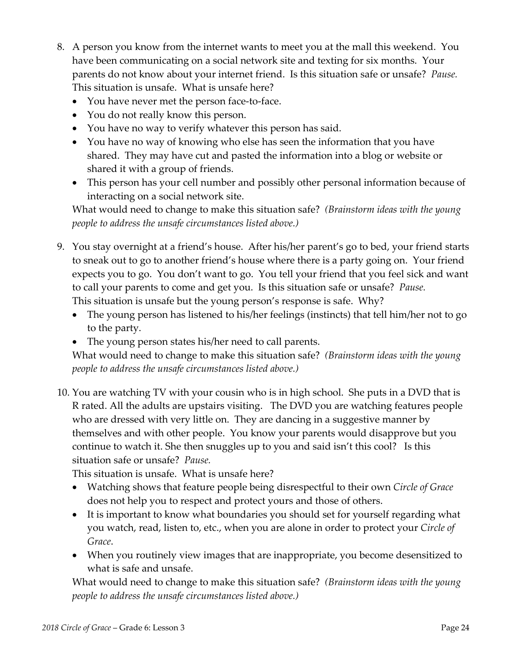- 8. A person you know from the internet wants to meet you at the mall this weekend. You have been communicating on a social network site and texting for six months. Your parents do not know about your internet friend. Is this situation safe or unsafe? *Pause.* This situation is unsafe. What is unsafe here?
	- You have never met the person face-to-face.
	- You do not really know this person.
	- You have no way to verify whatever this person has said.
	- You have no way of knowing who else has seen the information that you have shared. They may have cut and pasted the information into a blog or website or shared it with a group of friends.
	- This person has your cell number and possibly other personal information because of interacting on a social network site.

What would need to change to make this situation safe? *(Brainstorm ideas with the young people to address the unsafe circumstances listed above.)*

- 9. You stay overnight at a friend's house. After his/her parent's go to bed, your friend starts to sneak out to go to another friend's house where there is a party going on. Your friend expects you to go. You don't want to go. You tell your friend that you feel sick and want to call your parents to come and get you. Is this situation safe or unsafe? *Pause.* This situation is unsafe but the young person's response is safe. Why?
	- The young person has listened to his/her feelings (instincts) that tell him/her not to go to the party.
	- The young person states his/her need to call parents.

What would need to change to make this situation safe? *(Brainstorm ideas with the young people to address the unsafe circumstances listed above.)*

10. You are watching TV with your cousin who is in high school. She puts in a DVD that is R rated. All the adults are upstairs visiting. The DVD you are watching features people who are dressed with very little on. They are dancing in a suggestive manner by themselves and with other people. You know your parents would disapprove but you continue to watch it. She then snuggles up to you and said isn't this cool? Is this situation safe or unsafe? *Pause.*

This situation is unsafe. What is unsafe here?

- Watching shows that feature people being disrespectful to their own *Circle of Grace* does not help you to respect and protect yours and those of others.
- It is important to know what boundaries you should set for yourself regarding what you watch, read, listen to, etc., when you are alone in order to protect your *Circle of Grace*.
- When you routinely view images that are inappropriate, you become desensitized to what is safe and unsafe.

What would need to change to make this situation safe? *(Brainstorm ideas with the young people to address the unsafe circumstances listed above.)*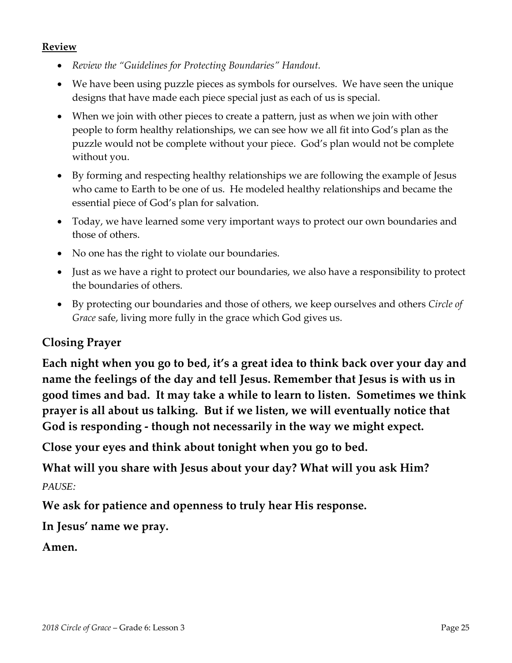#### **Review**

- *Review the "Guidelines for Protecting Boundaries" Handout.*
- We have been using puzzle pieces as symbols for ourselves. We have seen the unique designs that have made each piece special just as each of us is special.
- When we join with other pieces to create a pattern, just as when we join with other people to form healthy relationships, we can see how we all fit into God's plan as the puzzle would not be complete without your piece. God's plan would not be complete without you.
- By forming and respecting healthy relationships we are following the example of Jesus who came to Earth to be one of us. He modeled healthy relationships and became the essential piece of God's plan for salvation.
- Today, we have learned some very important ways to protect our own boundaries and those of others.
- No one has the right to violate our boundaries.
- Just as we have a right to protect our boundaries, we also have a responsibility to protect the boundaries of others.
- By protecting our boundaries and those of others, we keep ourselves and others *Circle of Grace* safe, living more fully in the grace which God gives us.

## **Closing Prayer**

**Each night when you go to bed, it's a great idea to think back over your day and name the feelings of the day and tell Jesus. Remember that Jesus is with us in good times and bad. It may take a while to learn to listen. Sometimes we think prayer is all about us talking. But if we listen, we will eventually notice that God is responding ‐ though not necessarily in the way we might expect.**

**Close your eyes and think about tonight when you go to bed.** 

**What will you share with Jesus about your day? What will you ask Him?** *PAUSE:*

**We ask for patience and openness to truly hear His response.**

**In Jesus' name we pray.**

**Amen.**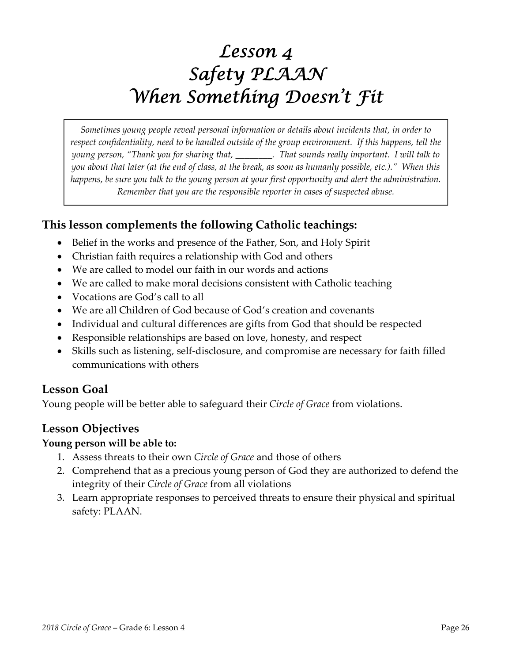# *Lesson 4 Safety PLAAN When Something Doesn't Fit*

*Sometimes young people reveal personal information or details about incidents that, in order to respect confidentiality, need to be handled outside of the group environment. If this happens, tell the* young person, "Thank you for sharing that, \_\_\_\_\_\_\_\_. That sounds really important. I will talk to you about that later (at the end of class, at the break, as soon as humanly possible, etc.)." When this happens, be sure you talk to the young person at your first opportunity and alert the administration. *Remember that you are the responsible reporter in cases of suspected abuse.*

# **This lesson complements the following Catholic teachings:**

- Belief in the works and presence of the Father, Son, and Holy Spirit
- Christian faith requires a relationship with God and others
- We are called to model our faith in our words and actions
- We are called to make moral decisions consistent with Catholic teaching
- Vocations are God's call to all
- We are all Children of God because of God's creation and covenants
- Individual and cultural differences are gifts from God that should be respected
- Responsible relationships are based on love, honesty, and respect
- Skills such as listening, self‐disclosure, and compromise are necessary for faith filled communications with others

#### **Lesson Goal**

Young people will be better able to safeguard their *Circle of Grace* from violations.

## **Lesson Objectives**

#### **Young person will be able to:**

- 1. Assess threats to their own *Circle of Grace* and those of others
- 2. Comprehend that as a precious young person of God they are authorized to defend the integrity of their *Circle of Grace* from all violations
- 3. Learn appropriate responses to perceived threats to ensure their physical and spiritual safety: PLAAN.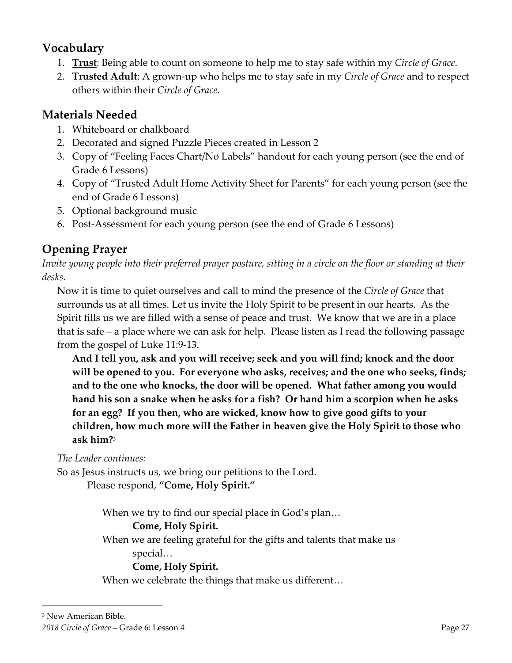# **Vocabulary**

- 1. **Trust**: Being able to count on someone to help me to stay safe within my *Circle of Grace*.
- 2. **Trusted Adult**: A grown‐up who helps me to stay safe in my *Circle of Grace* and to respect others within their *Circle of Grace*.

# **Materials Needed**

- 1. Whiteboard or chalkboard
- 2. Decorated and signed Puzzle Pieces created in Lesson 2
- 3. Copy of "Feeling Faces Chart/No Labels" handout for each young person (see the end of Grade 6 Lessons)
- 4. Copy of "Trusted Adult Home Activity Sheet for Parents" for each young person (see the end of Grade 6 Lessons)
- 5. Optional background music
- 6. Post‐Assessment for each young person (see the end of Grade 6 Lessons)

# **Opening Prayer**

Invite young people into their preferred prayer posture, sitting in a circle on the floor or standing at their *desks.*

Now it is time to quiet ourselves and call to mind the presence of the *Circle of Grace* that surrounds us at all times. Let us invite the Holy Spirit to be present in our hearts. As the Spirit fills us we are filled with a sense of peace and trust. We know that we are in a place that is safe – a place where we can ask for help. Please listen as I read the following passage from the gospel of Luke 11:9‐13.

**And I tell you, ask and you will receive; seek and you will find; knock and the door will be opened to you. For everyone who asks, receives; and the one who seeks, finds; and to the one who knocks, the door will be opened. What father among you would hand his son a snake when he asks for a fish? Or hand him a scorpion when he asks for an egg? If you then, who are wicked, know how to give good gifts to your children, how much more will the Father in heaven give the Holy Spirit to those who ask him?**<sup>3</sup>

#### *The Leader continues:*

So as Jesus instructs us, we bring our petitions to the Lord.

Please respond, **"Come, Holy Spirit."**

When we try to find our special place in God's plan…

#### **Come, Holy Spirit.**

When we are feeling grateful for the gifts and talents that make us special…

## **Come, Holy Spirit.**

When we celebrate the things that make us different…

 $\overline{a}$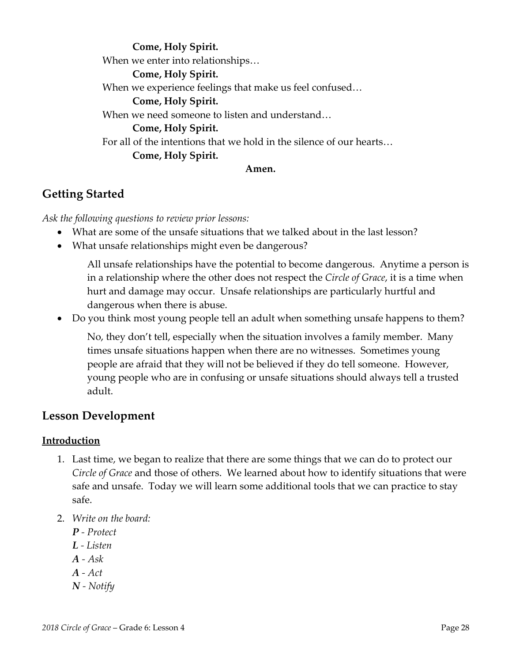**Come, Holy Spirit.** When we enter into relationships… **Come, Holy Spirit.** When we experience feelings that make us feel confused… **Come, Holy Spirit.** When we need someone to listen and understand… **Come, Holy Spirit.** For all of the intentions that we hold in the silence of our hearts… **Come, Holy Spirit.**

#### **Amen.**

#### **Getting Started**

*Ask the following questions to review prior lessons:*

- What are some of the unsafe situations that we talked about in the last lesson?
- What unsafe relationships might even be dangerous?

All unsafe relationships have the potential to become dangerous. Anytime a person is in a relationship where the other does not respect the *Circle of Grace*, it is a time when hurt and damage may occur. Unsafe relationships are particularly hurtful and dangerous when there is abuse.

Do you think most young people tell an adult when something unsafe happens to them?

No, they don't tell, especially when the situation involves a family member. Many times unsafe situations happen when there are no witnesses. Sometimes young people are afraid that they will not be believed if they do tell someone. However, young people who are in confusing or unsafe situations should always tell a trusted adult.

#### **Lesson Development**

#### **Introduction**

- 1. Last time, we began to realize that there are some things that we can do to protect our *Circle of Grace* and those of others. We learned about how to identify situations that were safe and unsafe. Today we will learn some additional tools that we can practice to stay safe.
- 2. *Write on the board:*
	- *P ‐ Protect*
	- *L ‐ Listen*
	- $A Ask$
	- *A ‐ Act*
	- *N ‐ Notify*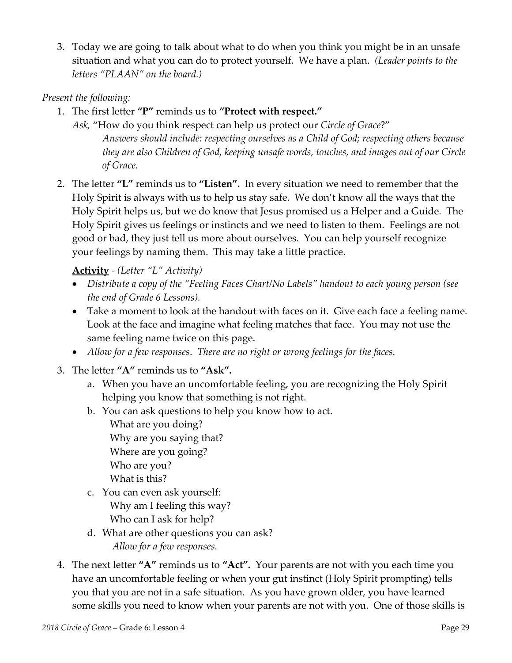3. Today we are going to talk about what to do when you think you might be in an unsafe situation and what you can do to protect yourself. We have a plan. *(Leader points to the letters "PLAAN" on the board.)*

#### *Present the following:*

1. The first letter **"P"** reminds us to **"Protect with respect."**

*Ask,* "How do you think respect can help us protect our *Circle of Grace*?" *Answers should include: respecting ourselves as a Child of God; respecting others because they are also Children of God, keeping unsafe words, touches, and images out of our Circle of Grace.*

2. The letter **"L"** reminds us to **"Listen".** In every situation we need to remember that the Holy Spirit is always with us to help us stay safe. We don't know all the ways that the Holy Spirit helps us, but we do know that Jesus promised us a Helper and a Guide. The Holy Spirit gives us feelings or instincts and we need to listen to them. Feelings are not good or bad, they just tell us more about ourselves. You can help yourself recognize your feelings by naming them. This may take a little practice.

#### **Activity** *‐ (Letter "L" Activity)*

- *Distribute a copy of the "Feeling Faces Chart/No Labels" handout to each young person (see the end of Grade 6 Lessons).*
- Take a moment to look at the handout with faces on it. Give each face a feeling name. Look at the face and imagine what feeling matches that face. You may not use the same feeling name twice on this page.
- *Allow for a few responses*. *There are no right or wrong feelings for the faces.*
- 3. The letter **"A"** reminds us to **"Ask".**
	- a. When you have an uncomfortable feeling, you are recognizing the Holy Spirit helping you know that something is not right.
	- b. You can ask questions to help you know how to act.
		- What are you doing? Why are you saying that? Where are you going? Who are you? What is this?
	- c. You can even ask yourself: Why am I feeling this way? Who can I ask for help?
	- d. What are other questions you can ask? *Allow for a few responses.*
- 4. The next letter **"A"** reminds us to **"Act".** Your parents are not with you each time you have an uncomfortable feeling or when your gut instinct (Holy Spirit prompting) tells you that you are not in a safe situation. As you have grown older, you have learned some skills you need to know when your parents are not with you. One of those skills is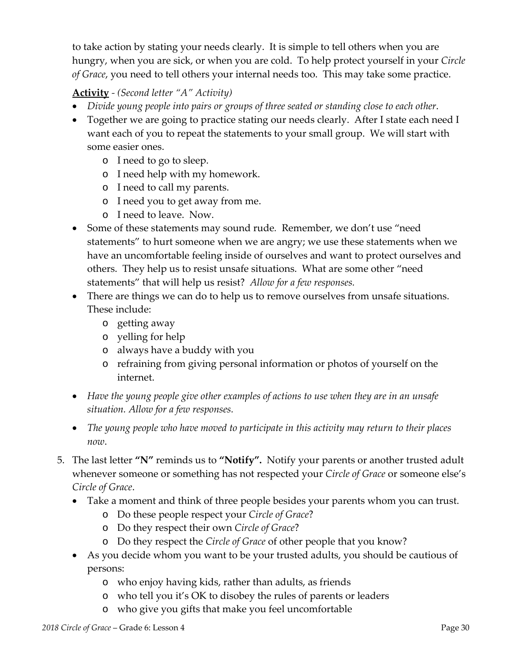to take action by stating your needs clearly. It is simple to tell others when you are hungry, when you are sick, or when you are cold. To help protect yourself in your *Circle of Grace*, you need to tell others your internal needs too. This may take some practice.

#### **Activity** *‐ (Second letter "A" Activity)*

- *Divide young people into pairs or groups of three seated or standing close to each other*.
- Together we are going to practice stating our needs clearly. After I state each need I want each of you to repeat the statements to your small group. We will start with some easier ones.
	- o I need to go to sleep.
	- o I need help with my homework.
	- o I need to call my parents.
	- o I need you to get away from me.
	- o I need to leave. Now.
- Some of these statements may sound rude*.* Remember, we don't use "need statements" to hurt someone when we are angry; we use these statements when we have an uncomfortable feeling inside of ourselves and want to protect ourselves and others. They help us to resist unsafe situations. What are some other "need statements" that will help us resist? *Allow for a few responses.*
- There are things we can do to help us to remove ourselves from unsafe situations. These include:
	- o getting away
	- o yelling for help
	- o always have a buddy with you
	- o refraining from giving personal information or photos of yourself on the internet.
- *Have the young people give other examples of actions to use when they are in an unsafe situation. Allow for a few responses.*
- *The young people who have moved to participate in this activity may return to their places now*.
- 5. The last letter **"N"** reminds us to **"Notify".** Notify your parents or another trusted adult whenever someone or something has not respected your *Circle of Grace* or someone else's *Circle of Grace*.
	- Take a moment and think of three people besides your parents whom you can trust.
		- o Do these people respect your *Circle of Grace*?
		- o Do they respect their own *Circle of Grace*?
		- o Do they respect the *Circle of Grace* of other people that you know?
	- As you decide whom you want to be your trusted adults, you should be cautious of persons:
		- o who enjoy having kids, rather than adults, as friends
		- o who tell you it's OK to disobey the rules of parents or leaders
		- o who give you gifts that make you feel uncomfortable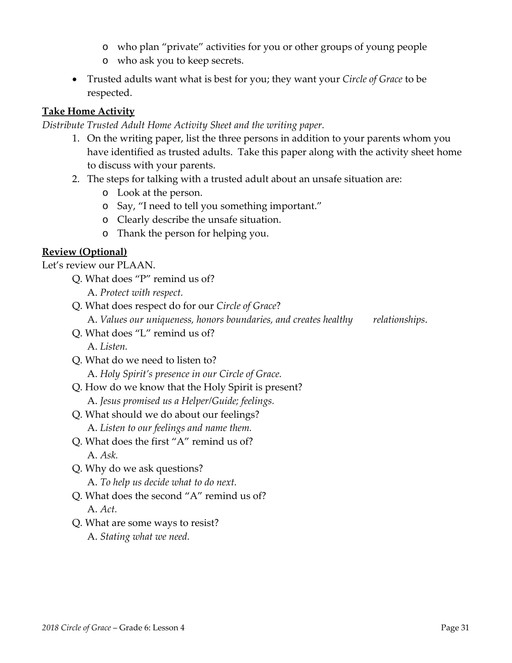- o who plan "private" activities for you or other groups of young people
- o who ask you to keep secrets.
- Trusted adults want what is best for you; they want your *Circle of Grace* to be respected.

#### **Take Home Activity**

*Distribute Trusted Adult Home Activity Sheet and the writing paper.*

- 1. On the writing paper, list the three persons in addition to your parents whom you have identified as trusted adults. Take this paper along with the activity sheet home to discuss with your parents.
- 2. The steps for talking with a trusted adult about an unsafe situation are:
	- o Look at the person.
	- o Say, "I need to tell you something important."
	- o Clearly describe the unsafe situation.
	- o Thank the person for helping you.

#### **Review (Optional)**

Let's review our PLAAN.

Q. What does "P" remind us of?

A. *Protect with respect.*

Q. What does respect do for our *Circle of Grace*?

A. *Values our uniqueness, honors boundaries, and creates healthy relationships*.

- Q. What does "L" remind us of? A. *Listen.*
- Q. What do we need to listen to? A. *Holy Spirit's presence in our Circle of Grace.*
- Q. How do we know that the Holy Spirit is present? A. *Jesus promised us a Helper/Guide; feelings.*
- Q. What should we do about our feelings? A. *Listen to our feelings and name them.*
- Q. What does the first "A" remind us of? A. *Ask.*
- Q. Why do we ask questions? A. *To help us decide what to do next.*
- Q. What does the second "A" remind us of? A. *Act.*
- Q. What are some ways to resist?
	- A. *Stating what we need.*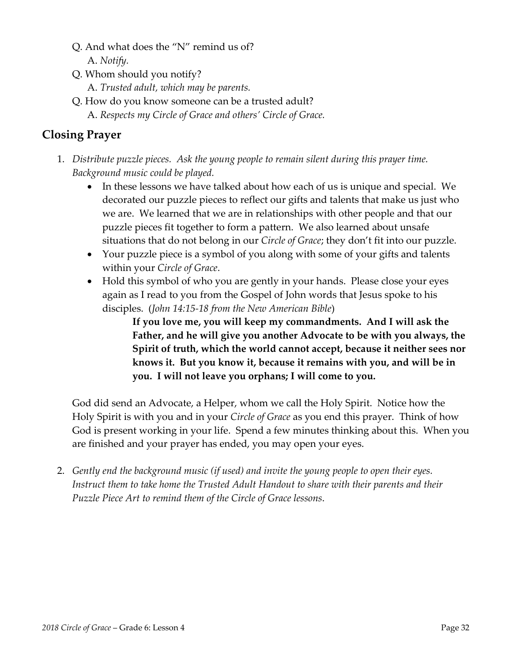Q. And what does the "N" remind us of?

A. *Notify.*

- Q. Whom should you notify? A. *Trusted adult, which may be parents.*
- Q. How do you know someone can be a trusted adult? A. *Respects my Circle of Grace and others' Circle of Grace.*

# **Closing Prayer**

- 1. *Distribute puzzle pieces. Ask the young people to remain silent during this prayer time. Background music could be played.*
	- In these lessons we have talked about how each of us is unique and special. We decorated our puzzle pieces to reflect our gifts and talents that make us just who we are. We learned that we are in relationships with other people and that our puzzle pieces fit together to form a pattern. We also learned about unsafe situations that do not belong in our *Circle of Grace*; they don't fit into our puzzle.
	- Your puzzle piece is a symbol of you along with some of your gifts and talents within your *Circle of Grace*.
	- Hold this symbol of who you are gently in your hands. Please close your eyes again as I read to you from the Gospel of John words that Jesus spoke to his disciples. (*John 14:15‐18 from the New American Bible*)

**If you love me, you will keep my commandments. And I will ask the Father, and he will give you another Advocate to be with you always, the Spirit of truth, which the world cannot accept, because it neither sees nor knows it. But you know it, because it remains with you, and will be in you. I will not leave you orphans; I will come to you.** 

God did send an Advocate, a Helper, whom we call the Holy Spirit. Notice how the Holy Spirit is with you and in your *Circle of Grace* as you end this prayer. Think of how God is present working in your life. Spend a few minutes thinking about this. When you are finished and your prayer has ended, you may open your eyes.

2. *Gently end the background music (if used) and invite the young people to open their eyes. Instruct them to take home the Trusted Adult Handout to share with their parents and their Puzzle Piece Art to remind them of the Circle of Grace lessons*.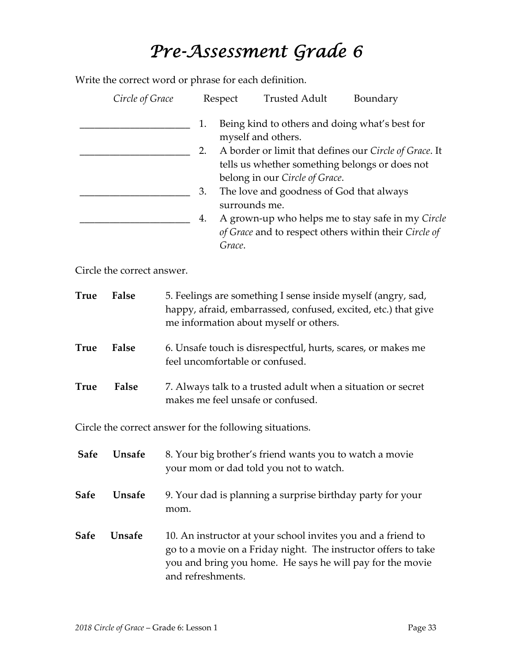# *Pre-Assessment Grade 6*

Write the correct word or phrase for each definition.

|      | Circle of Grace            |                                                                                                   | Respect                                                                                                                                                                                                                                                                                                                                                                                                 | <b>Trusted Adult</b>                                                                              | Boundary                                                                                                                       |  |  |
|------|----------------------------|---------------------------------------------------------------------------------------------------|---------------------------------------------------------------------------------------------------------------------------------------------------------------------------------------------------------------------------------------------------------------------------------------------------------------------------------------------------------------------------------------------------------|---------------------------------------------------------------------------------------------------|--------------------------------------------------------------------------------------------------------------------------------|--|--|
|      |                            | 1.<br>2.<br>3.<br>4.                                                                              | Being kind to others and doing what's best for<br>myself and others.<br>A border or limit that defines our Circle of Grace. It<br>tells us whether something belongs or does not<br>belong in our Circle of Grace.<br>The love and goodness of God that always<br>surrounds me.<br>A grown-up who helps me to stay safe in my Circle<br>of Grace and to respect others within their Circle of<br>Grace. |                                                                                                   |                                                                                                                                |  |  |
|      | Circle the correct answer. |                                                                                                   |                                                                                                                                                                                                                                                                                                                                                                                                         |                                                                                                   |                                                                                                                                |  |  |
| True | False                      |                                                                                                   |                                                                                                                                                                                                                                                                                                                                                                                                         | me information about myself or others.                                                            | 5. Feelings are something I sense inside myself (angry, sad,<br>happy, afraid, embarrassed, confused, excited, etc.) that give |  |  |
| True | False                      | 6. Unsafe touch is disrespectful, hurts, scares, or makes me<br>feel uncomfortable or confused.   |                                                                                                                                                                                                                                                                                                                                                                                                         |                                                                                                   |                                                                                                                                |  |  |
| True | False                      | 7. Always talk to a trusted adult when a situation or secret<br>makes me feel unsafe or confused. |                                                                                                                                                                                                                                                                                                                                                                                                         |                                                                                                   |                                                                                                                                |  |  |
|      |                            |                                                                                                   |                                                                                                                                                                                                                                                                                                                                                                                                         | Circle the correct answer for the following situations.                                           |                                                                                                                                |  |  |
| Safe | Unsafe                     |                                                                                                   |                                                                                                                                                                                                                                                                                                                                                                                                         | 8. Your big brother's friend wants you to watch a movie<br>your mom or dad told you not to watch. |                                                                                                                                |  |  |
| Safe | Unsafe                     | mom.                                                                                              |                                                                                                                                                                                                                                                                                                                                                                                                         | 9. Your dad is planning a surprise birthday party for your                                        |                                                                                                                                |  |  |
| Safe | Unsafe                     | and refreshments.                                                                                 |                                                                                                                                                                                                                                                                                                                                                                                                         | 10. An instructor at your school invites you and a friend to                                      | go to a movie on a Friday night. The instructor offers to take<br>you and bring you home. He says he will pay for the movie    |  |  |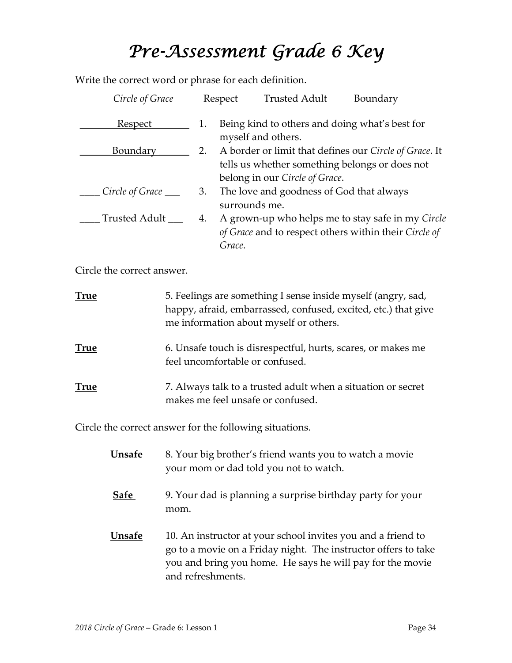# *Pre-Assessment Grade 6 Key*

Write the correct word or phrase for each definition.

| Circle of Grace                                         |                                                                                                   | Respect                                                                                         |                                                                                                                      |                                        | Trusted Adult |  | Boundary                                                                                                                       |  |
|---------------------------------------------------------|---------------------------------------------------------------------------------------------------|-------------------------------------------------------------------------------------------------|----------------------------------------------------------------------------------------------------------------------|----------------------------------------|---------------|--|--------------------------------------------------------------------------------------------------------------------------------|--|
| <u>Respect</u>                                          |                                                                                                   | 1.                                                                                              | Being kind to others and doing what's best for<br>myself and others.                                                 |                                        |               |  |                                                                                                                                |  |
| Boundary                                                |                                                                                                   | 2.                                                                                              | A border or limit that defines our Circle of Grace. It<br>tells us whether something belongs or does not             |                                        |               |  |                                                                                                                                |  |
| <u>Circle of Grace</u>                                  |                                                                                                   | 3.                                                                                              | belong in our Circle of Grace.<br>The love and goodness of God that always<br>surrounds me.                          |                                        |               |  |                                                                                                                                |  |
| Trusted Adult                                           |                                                                                                   | 4.                                                                                              | A grown-up who helps me to stay safe in my Circle<br>of Grace and to respect others within their Circle of<br>Grace. |                                        |               |  |                                                                                                                                |  |
| Circle the correct answer.                              |                                                                                                   |                                                                                                 |                                                                                                                      |                                        |               |  |                                                                                                                                |  |
| <u>True</u>                                             |                                                                                                   |                                                                                                 |                                                                                                                      | me information about myself or others. |               |  | 5. Feelings are something I sense inside myself (angry, sad,<br>happy, afraid, embarrassed, confused, excited, etc.) that give |  |
| T <u>rue</u>                                            |                                                                                                   | 6. Unsafe touch is disrespectful, hurts, scares, or makes me<br>feel uncomfortable or confused. |                                                                                                                      |                                        |               |  |                                                                                                                                |  |
| True                                                    | 7. Always talk to a trusted adult when a situation or secret<br>makes me feel unsafe or confused. |                                                                                                 |                                                                                                                      |                                        |               |  |                                                                                                                                |  |
| Circle the correct answer for the following situations. |                                                                                                   |                                                                                                 |                                                                                                                      |                                        |               |  |                                                                                                                                |  |
| Unsafe                                                  |                                                                                                   |                                                                                                 |                                                                                                                      | your mom or dad told you not to watch. |               |  | 8. Your big brother's friend wants you to watch a movie                                                                        |  |
| Safe<br>mom.                                            |                                                                                                   |                                                                                                 | 9. Your dad is planning a surprise birthday party for your                                                           |                                        |               |  |                                                                                                                                |  |
|                                                         |                                                                                                   |                                                                                                 |                                                                                                                      |                                        |               |  |                                                                                                                                |  |

 **Unsafe** 10. An instructor at your school invites you and a friend to go to a movie on a Friday night. The instructor offers to take you and bring you home. He says he will pay for the movie and refreshments.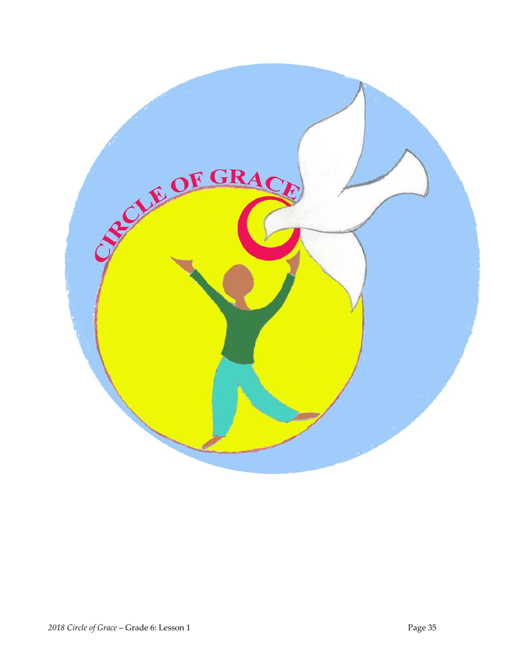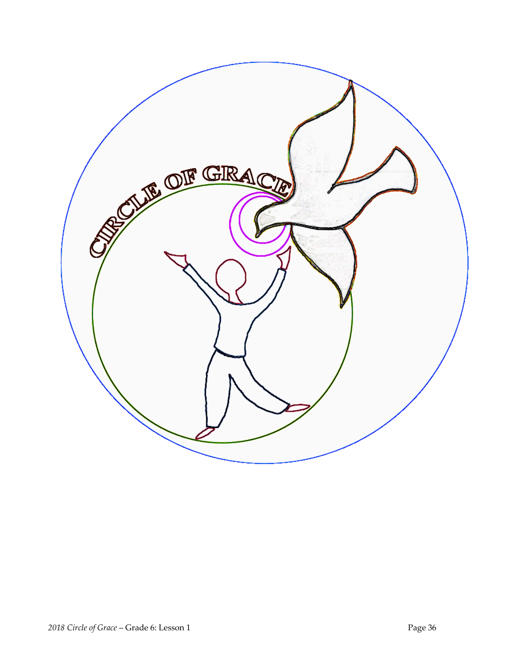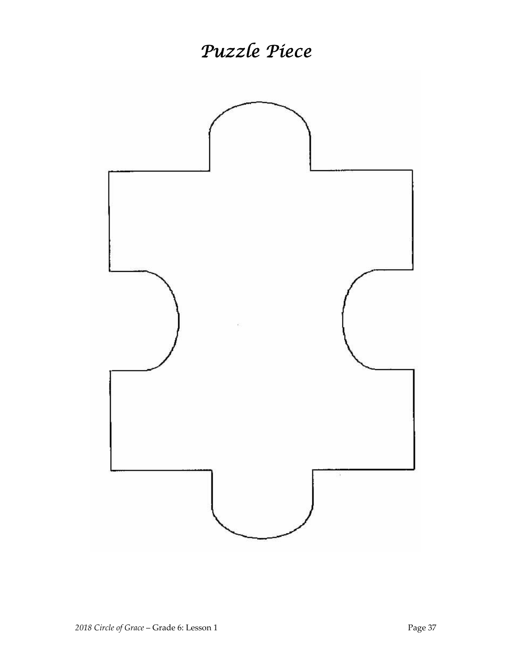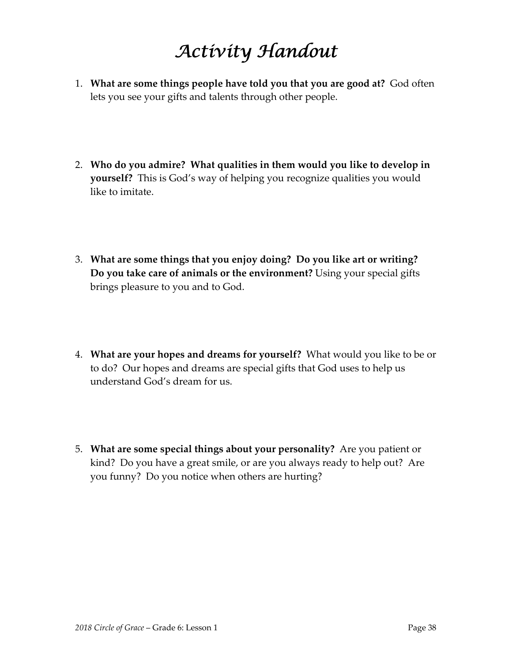# *Activity Handout*

- 1. **What are some things people have told you that you are good at?** God often lets you see your gifts and talents through other people.
- 2. **Who do you admire? What qualities in them would you like to develop in yourself?** This is God's way of helping you recognize qualities you would like to imitate.
- 3. **What are some things that you enjoy doing? Do you like art or writing? Do you take care of animals or the environment?** Using your special gifts brings pleasure to you and to God.
- 4. **What are your hopes and dreams for yourself?** What would you like to be or to do? Our hopes and dreams are special gifts that God uses to help us understand God's dream for us.
- 5. **What are some special things about your personality?** Are you patient or kind? Do you have a great smile, or are you always ready to help out? Are you funny? Do you notice when others are hurting?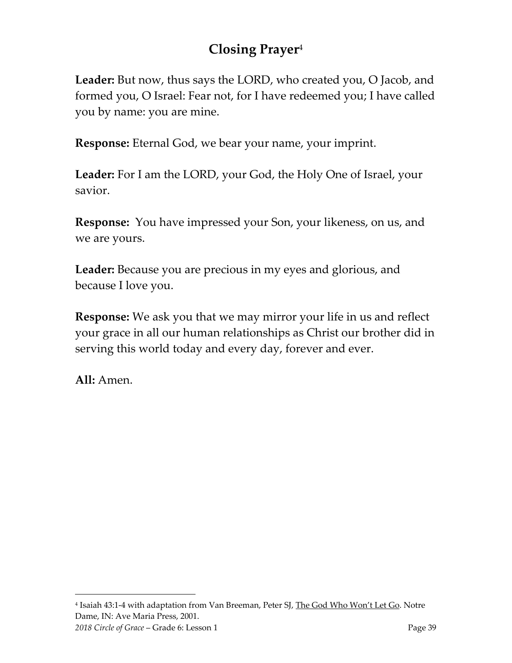# **Closing Prayer**<sup>4</sup>

**Leader:** But now, thus says the LORD, who created you, O Jacob, and formed you, O Israel: Fear not, for I have redeemed you; I have called you by name: you are mine.

**Response:** Eternal God, we bear your name, your imprint.

**Leader:** For I am the LORD, your God, the Holy One of Israel, your savior.

**Response:** You have impressed your Son, your likeness, on us, and we are yours.

**Leader:** Because you are precious in my eyes and glorious, and because I love you.

**Response:** We ask you that we may mirror your life in us and reflect your grace in all our human relationships as Christ our brother did in serving this world today and every day, forever and ever.

**All:** Amen.

 $\overline{a}$ <sup>4</sup> Isaiah 43:1-4 with adaptation from Van Breeman, Peter SJ, The God Who Won't Let Go. Notre Dame, IN: Ave Maria Press, 2001.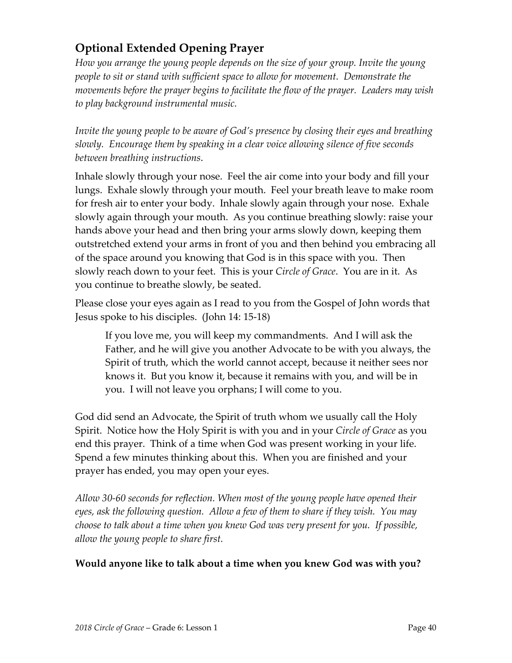# **Optional Extended Opening Prayer**

*How you arrange the young people depends on the size of your group. Invite the young people to sit or stand with sufficient space to allow for movement. Demonstrate the movements before the prayer begins to facilitate the flow of the prayer. Leaders may wish to play background instrumental music.*

*Invite the young people to be aware of God's presence by closing their eyes and breathing slowly. Encourage them by speaking in a clear voice allowing silence of five seconds between breathing instructions*.

Inhale slowly through your nose. Feel the air come into your body and fill your lungs. Exhale slowly through your mouth. Feel your breath leave to make room for fresh air to enter your body. Inhale slowly again through your nose. Exhale slowly again through your mouth. As you continue breathing slowly: raise your hands above your head and then bring your arms slowly down, keeping them outstretched extend your arms in front of you and then behind you embracing all of the space around you knowing that God is in this space with you. Then slowly reach down to your feet. This is your *Circle of Grace*. You are in it. As you continue to breathe slowly, be seated.

Please close your eyes again as I read to you from the Gospel of John words that Jesus spoke to his disciples. (John 14: 15‐18)

If you love me, you will keep my commandments. And I will ask the Father, and he will give you another Advocate to be with you always, the Spirit of truth, which the world cannot accept, because it neither sees nor knows it. But you know it, because it remains with you, and will be in you. I will not leave you orphans; I will come to you.

God did send an Advocate, the Spirit of truth whom we usually call the Holy Spirit. Notice how the Holy Spirit is with you and in your *Circle of Grace* as you end this prayer. Think of a time when God was present working in your life. Spend a few minutes thinking about this. When you are finished and your prayer has ended, you may open your eyes.

*Allow 30‐60 seconds for reflection. When most of the young people have opened their eyes, ask the following question. Allow a few of them to share if they wish. You may choose to talk about a time when you knew God was very present for you. If possible, allow the young people to share first.*

#### **Would anyone like to talk about a time when you knew God was with you?**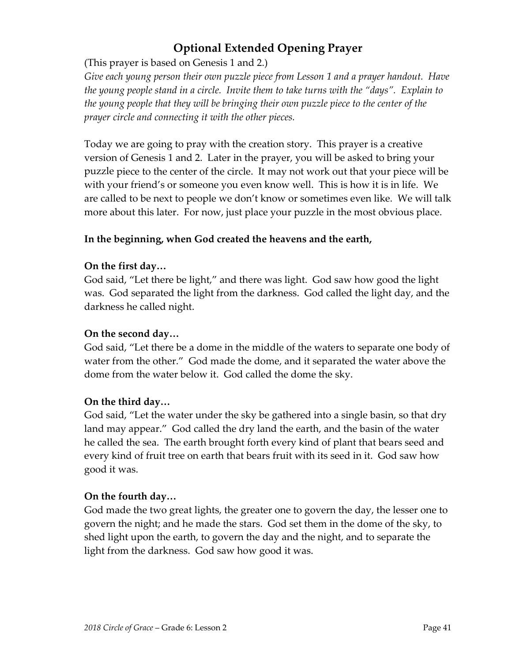# **Optional Extended Opening Prayer**

(This prayer is based on Genesis 1 and 2.)

*Give each young person their own puzzle piece from Lesson 1 and a prayer handout. Have the young people stand in a circle. Invite them to take turns with the "days". Explain to the young people that they will be bringing their own puzzle piece to the center of the prayer circle and connecting it with the other pieces.*

Today we are going to pray with the creation story. This prayer is a creative version of Genesis 1 and 2. Later in the prayer, you will be asked to bring your puzzle piece to the center of the circle. It may not work out that your piece will be with your friend's or someone you even know well. This is how it is in life. We are called to be next to people we don't know or sometimes even like. We will talk more about this later. For now, just place your puzzle in the most obvious place.

#### **In the beginning, when God created the heavens and the earth,**

#### **On the first day…**

God said, "Let there be light," and there was light. God saw how good the light was. God separated the light from the darkness. God called the light day, and the darkness he called night.

#### **On the second day…**

God said, "Let there be a dome in the middle of the waters to separate one body of water from the other." God made the dome, and it separated the water above the dome from the water below it. God called the dome the sky.

#### **On the third day…**

God said, "Let the water under the sky be gathered into a single basin, so that dry land may appear." God called the dry land the earth, and the basin of the water he called the sea. The earth brought forth every kind of plant that bears seed and every kind of fruit tree on earth that bears fruit with its seed in it. God saw how good it was.

#### **On the fourth day…**

God made the two great lights, the greater one to govern the day, the lesser one to govern the night; and he made the stars. God set them in the dome of the sky, to shed light upon the earth, to govern the day and the night, and to separate the light from the darkness. God saw how good it was.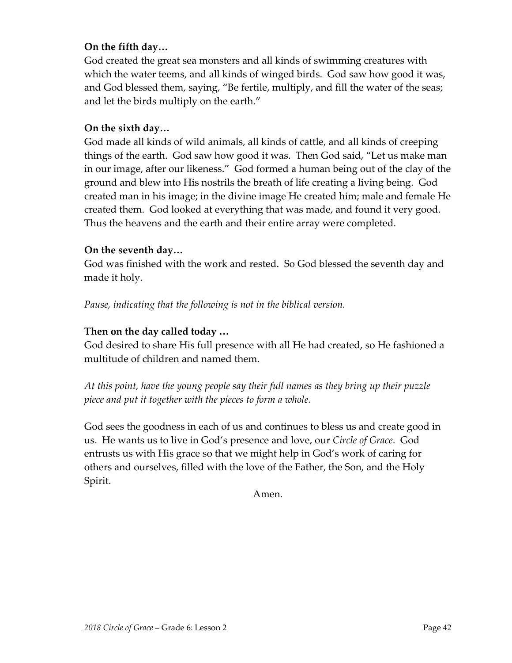#### **On the fifth day…**

God created the great sea monsters and all kinds of swimming creatures with which the water teems, and all kinds of winged birds. God saw how good it was, and God blessed them, saying, "Be fertile, multiply, and fill the water of the seas; and let the birds multiply on the earth."

#### **On the sixth day…**

God made all kinds of wild animals, all kinds of cattle, and all kinds of creeping things of the earth. God saw how good it was. Then God said, "Let us make man in our image, after our likeness." God formed a human being out of the clay of the ground and blew into His nostrils the breath of life creating a living being. God created man in his image; in the divine image He created him; male and female He created them. God looked at everything that was made, and found it very good. Thus the heavens and the earth and their entire array were completed.

#### **On the seventh day…**

God was finished with the work and rested. So God blessed the seventh day and made it holy.

*Pause, indicating that the following is not in the biblical version.*

#### **Then on the day called today …**

God desired to share His full presence with all He had created, so He fashioned a multitude of children and named them.

*At this point, have the young people say their full names as they bring up their puzzle piece and put it together with the pieces to form a whole.*

God sees the goodness in each of us and continues to bless us and create good in us. He wants us to live in God's presence and love, our *Circle of Grace*. God entrusts us with His grace so that we might help in God's work of caring for others and ourselves, filled with the love of the Father, the Son, and the Holy Spirit.

Amen.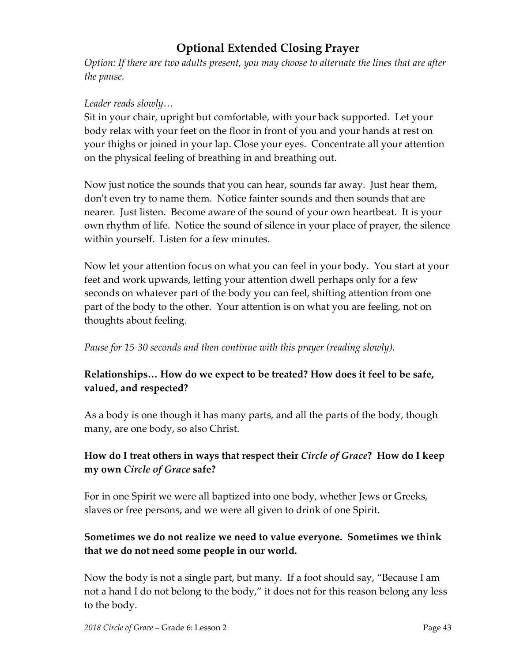# **Optional Extended Closing Prayer**

*Option: If there are two adults present, you may choose to alternate the lines that are after the pause.*

#### *Leader reads slowly…*

Sit in your chair, upright but comfortable, with your back supported. Let your body relax with your feet on the floor in front of you and your hands at rest on your thighs or joined in your lap. Close your eyes. Concentrate all your attention on the physical feeling of breathing in and breathing out.

Now just notice the sounds that you can hear, sounds far away. Just hear them, don't even try to name them. Notice fainter sounds and then sounds that are nearer. Just listen. Become aware of the sound of your own heartbeat. It is your own rhythm of life. Notice the sound of silence in your place of prayer, the silence within yourself. Listen for a few minutes.

Now let your attention focus on what you can feel in your body. You start at your feet and work upwards, letting your attention dwell perhaps only for a few seconds on whatever part of the body you can feel, shifting attention from one part of the body to the other. Your attention is on what you are feeling, not on thoughts about feeling.

#### *Pause for 15‐30 seconds and then continue with this prayer (reading slowly).*

#### **Relationships… How do we expect to be treated? How does it feel to be safe, valued, and respected?**

As a body is one though it has many parts, and all the parts of the body, though many, are one body, so also Christ.

#### **How do I treat others in ways that respect their** *Circle of Grace***? How do I keep my own** *Circle of Grace* **safe?**

For in one Spirit we were all baptized into one body, whether Jews or Greeks, slaves or free persons, and we were all given to drink of one Spirit.

#### **Sometimes we do not realize we need to value everyone. Sometimes we think that we do not need some people in our world.**

Now the body is not a single part, but many. If a foot should say, "Because I am not a hand I do not belong to the body," it does not for this reason belong any less to the body.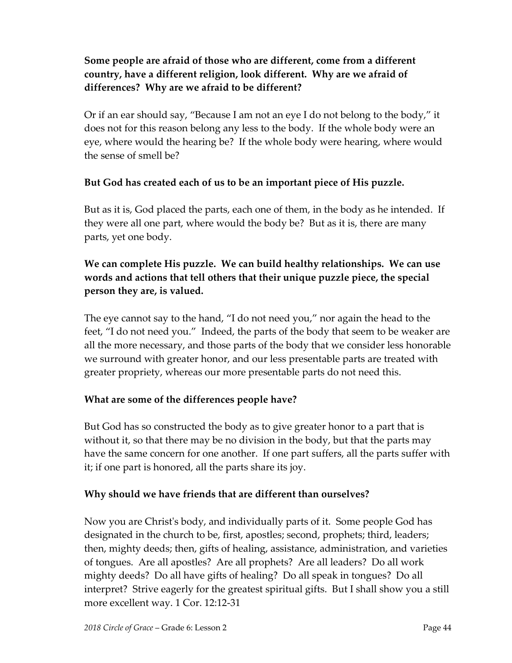#### **Some people are afraid of those who are different, come from a different country, have a different religion, look different. Why are we afraid of differences? Why are we afraid to be different?**

Or if an ear should say, "Because I am not an eye I do not belong to the body," it does not for this reason belong any less to the body. If the whole body were an eye, where would the hearing be? If the whole body were hearing, where would the sense of smell be?

#### **But God has created each of us to be an important piece of His puzzle.**

But as it is, God placed the parts, each one of them, in the body as he intended. If they were all one part, where would the body be? But as it is, there are many parts, yet one body.

#### **We can complete His puzzle. We can build healthy relationships. We can use words and actions that tell others that their unique puzzle piece, the special person they are, is valued.**

The eye cannot say to the hand, "I do not need you," nor again the head to the feet, "I do not need you." Indeed, the parts of the body that seem to be weaker are all the more necessary, and those parts of the body that we consider less honorable we surround with greater honor, and our less presentable parts are treated with greater propriety, whereas our more presentable parts do not need this.

#### **What are some of the differences people have?**

But God has so constructed the body as to give greater honor to a part that is without it, so that there may be no division in the body, but that the parts may have the same concern for one another. If one part suffers, all the parts suffer with it; if one part is honored, all the parts share its joy.

#### **Why should we have friends that are different than ourselves?**

Now you are Christʹs body, and individually parts of it. Some people God has designated in the church to be, first, apostles; second, prophets; third, leaders; then, mighty deeds; then, gifts of healing, assistance, administration, and varieties of tongues. Are all apostles? Are all prophets? Are all leaders? Do all work mighty deeds? Do all have gifts of healing? Do all speak in tongues? Do all interpret? Strive eagerly for the greatest spiritual gifts. But I shall show you a still more excellent way. 1 Cor. 12:12‐31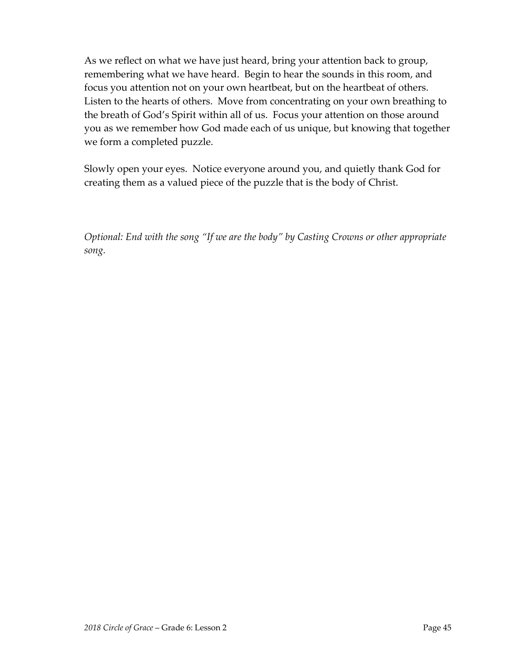As we reflect on what we have just heard, bring your attention back to group, remembering what we have heard. Begin to hear the sounds in this room, and focus you attention not on your own heartbeat, but on the heartbeat of others. Listen to the hearts of others. Move from concentrating on your own breathing to the breath of God's Spirit within all of us. Focus your attention on those around you as we remember how God made each of us unique, but knowing that together we form a completed puzzle.

Slowly open your eyes. Notice everyone around you, and quietly thank God for creating them as a valued piece of the puzzle that is the body of Christ.

*Optional: End with the song "If we are the body" by Casting Crowns or other appropriate song.*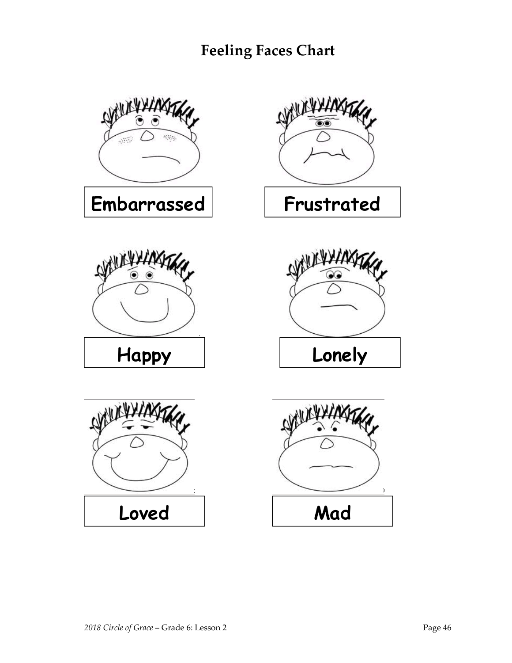**Feeling Faces Chart**

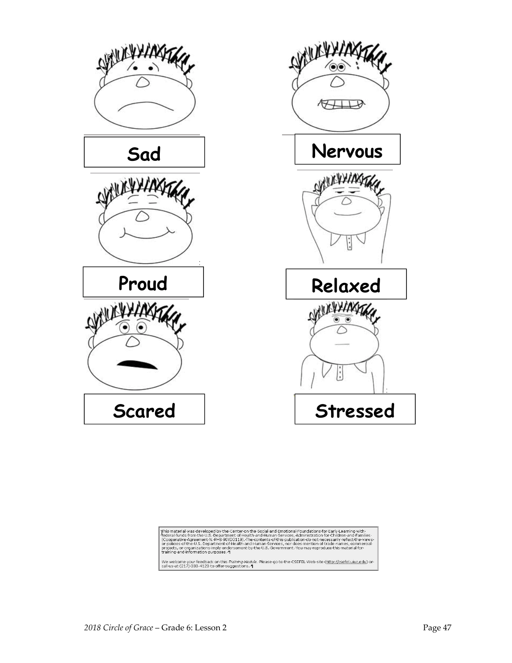



This material was developed by the Center on the Social and Emotional Foundations for Early Learning with redecal functions of the Social and Human Services, Administration for Children and Families:<br>Yederal functions fro

We-welcome-your-feedback-on-this-7raining-Module. Please-go-to-the-CSEFEL-Web-site-(<u>http://csefel.uiuc.edu</u>)-or-<br>call-us-at-(217)-333-4123-to-offer-suggestions. ¶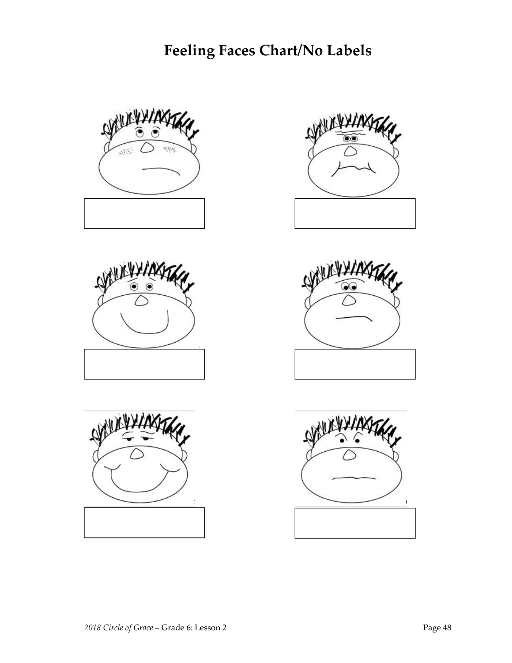**Feeling Faces Chart/No Labels**











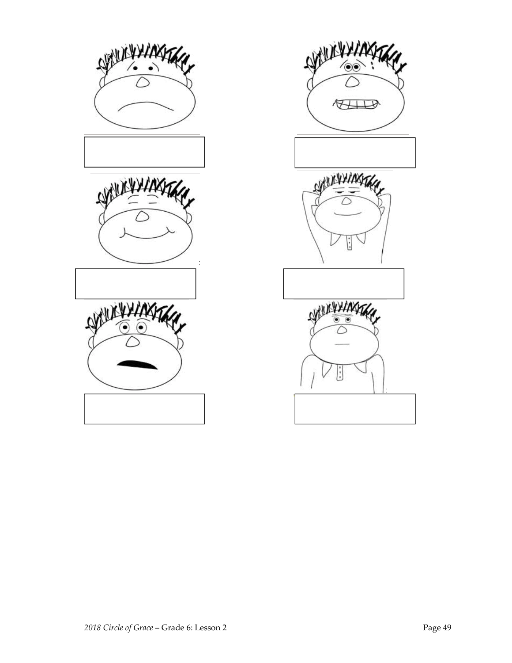

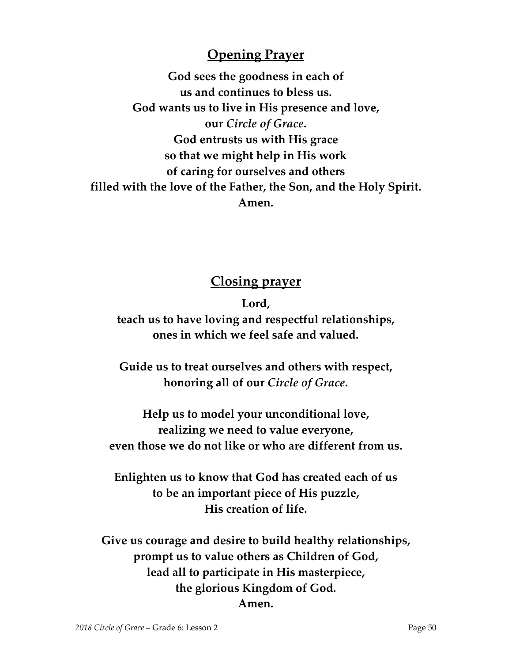# **Opening Prayer**

**God sees the goodness in each of us and continues to bless us. God wants us to live in His presence and love, our** *Circle of Grace***. God entrusts us with His grace so that we might help in His work of caring for ourselves and others filled with the love of the Father, the Son, and the Holy Spirit. Amen.**

# **Closing prayer**

**Lord, teach us to have loving and respectful relationships, ones in which we feel safe and valued.**

**Guide us to treat ourselves and others with respect, honoring all of our** *Circle of Grace***.**

**Help us to model your unconditional love, realizing we need to value everyone, even those we do not like or who are different from us.**

**Enlighten us to know that God has created each of us to be an important piece of His puzzle, His creation of life.**

**Give us courage and desire to build healthy relationships, prompt us to value others as Children of God, lead all to participate in His masterpiece, the glorious Kingdom of God. Amen.**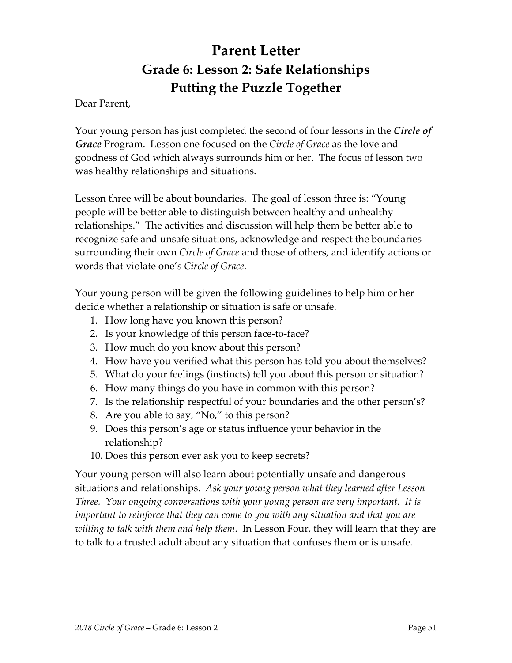# **Parent Letter Grade 6: Lesson 2: Safe Relationships Putting the Puzzle Together**

Dear Parent,

Your young person has just completed the second of four lessons in the *Circle of Grace* Program. Lesson one focused on the *Circle of Grace* as the love and goodness of God which always surrounds him or her. The focus of lesson two was healthy relationships and situations.

Lesson three will be about boundaries. The goal of lesson three is: "Young people will be better able to distinguish between healthy and unhealthy relationships." The activities and discussion will help them be better able to recognize safe and unsafe situations, acknowledge and respect the boundaries surrounding their own *Circle of Grace* and those of others, and identify actions or words that violate one's *Circle of Grace*.

Your young person will be given the following guidelines to help him or her decide whether a relationship or situation is safe or unsafe.

- 1. How long have you known this person?
- 2. Is your knowledge of this person face-to-face?
- 3. How much do you know about this person?
- 4. How have you verified what this person has told you about themselves?
- 5. What do your feelings (instincts) tell you about this person or situation?
- 6. How many things do you have in common with this person?
- 7. Is the relationship respectful of your boundaries and the other person's?
- 8. Are you able to say, "No," to this person?
- 9. Does this person's age or status influence your behavior in the relationship?
- 10. Does this person ever ask you to keep secrets?

Your young person will also learn about potentially unsafe and dangerous situations and relationships. *Ask your young person what they learned after Lesson Three. Your ongoing conversations with your young person are very important. It is important to reinforce that they can come to you with any situation and that you are willing to talk with them and help them*. In Lesson Four, they will learn that they are to talk to a trusted adult about any situation that confuses them or is unsafe.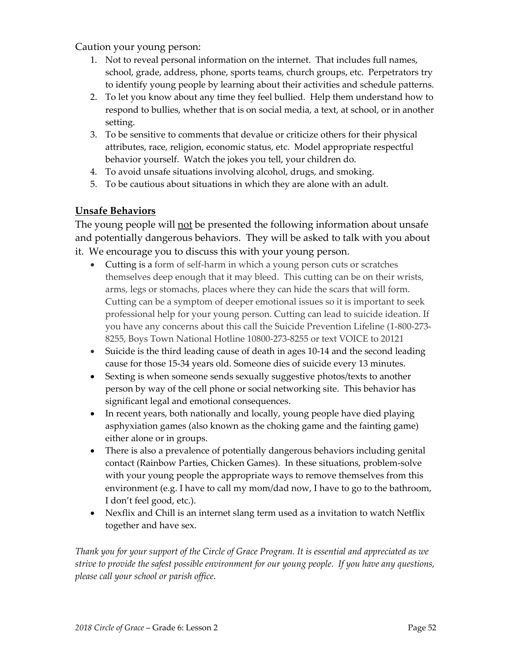Caution your young person:

- 1. Not to reveal personal information on the internet. That includes full names, school, grade, address, phone, sports teams, church groups, etc. Perpetrators try to identify young people by learning about their activities and schedule patterns.
- 2. To let you know about any time they feel bullied. Help them understand how to respond to bullies, whether that is on social media, a text, at school, or in another setting.
- 3. To be sensitive to comments that devalue or criticize others for their physical attributes, race, religion, economic status, etc. Model appropriate respectful behavior yourself. Watch the jokes you tell, your children do.
- 4. To avoid unsafe situations involving alcohol, drugs, and smoking.
- 5. To be cautious about situations in which they are alone with an adult.

#### **Unsafe Behaviors**

The young people will not be presented the following information about unsafe and potentially dangerous behaviors. They will be asked to talk with you about it. We encourage you to discuss this with your young person.

- Cutting is a form of self‐harm in which a young person cuts or scratches themselves deep enough that it may bleed. This cutting can be on their wrists, arms, legs or stomachs, places where they can hide the scars that will form. Cutting can be a symptom of deeper emotional issues so it is important to seek professional help for your young person. Cutting can lead to suicide ideation. If you have any concerns about this call the Suicide Prevention Lifeline (1‐800‐273‐ 8255, Boys Town National Hotline 10800‐273‐8255 or text VOICE to 20121
- Suicide is the third leading cause of death in ages 10‐14 and the second leading cause for those 15‐34 years old. Someone dies of suicide every 13 minutes.
- Sexting is when someone sends sexually suggestive photos/texts to another person by way of the cell phone or social networking site. This behavior has significant legal and emotional consequences.
- In recent years, both nationally and locally, young people have died playing asphyxiation games (also known as the choking game and the fainting game) either alone or in groups.
- There is also a prevalence of potentially dangerous behaviors including genital contact (Rainbow Parties, Chicken Games). In these situations, problem‐solve with your young people the appropriate ways to remove themselves from this environment (e.g. I have to call my mom/dad now, I have to go to the bathroom, I don't feel good, etc.).
- Nexflix and Chill is an internet slang term used as a invitation to watch Netflix together and have sex.

*Thank you for your support of the Circle of Grace Program. It is essential and appreciated as we strive to provide the safest possible environment for our young people. If you have any questions, please call your school or parish office*.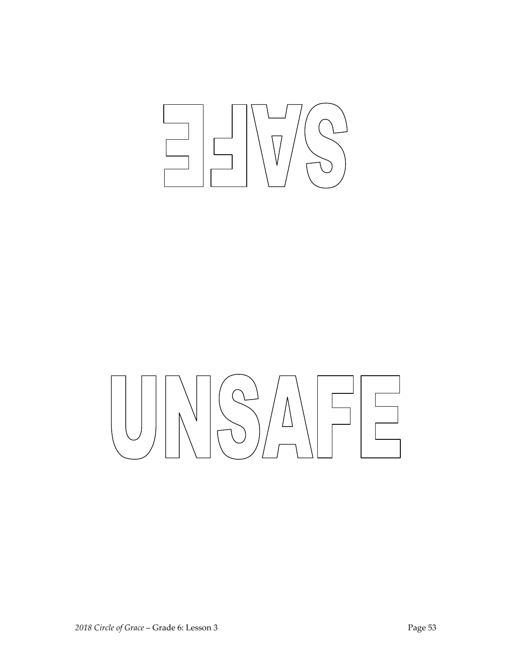

# $\setminus$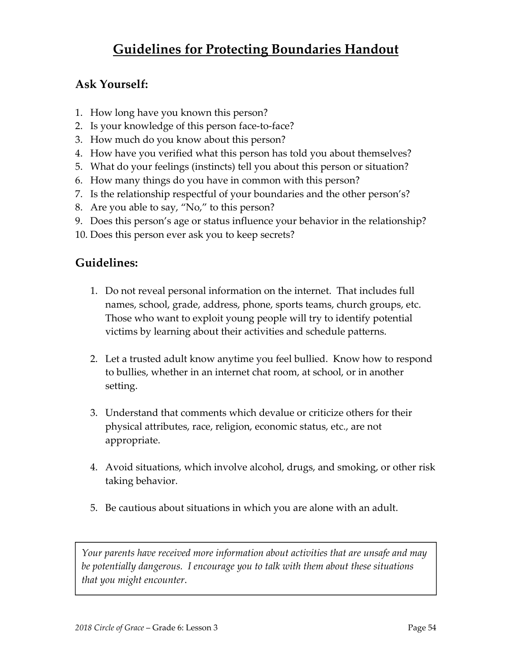# **Guidelines for Protecting Boundaries Handout**

# **Ask Yourself:**

- 1. How long have you known this person?
- 2. Is your knowledge of this person face‐to‐face?
- 3. How much do you know about this person?
- 4. How have you verified what this person has told you about themselves?
- 5. What do your feelings (instincts) tell you about this person or situation?
- 6. How many things do you have in common with this person?
- 7. Is the relationship respectful of your boundaries and the other person's?
- 8. Are you able to say, "No," to this person?
- 9. Does this person's age or status influence your behavior in the relationship?
- 10. Does this person ever ask you to keep secrets?

# **Guidelines:**

- 1. Do not reveal personal information on the internet. That includes full names, school, grade, address, phone, sports teams, church groups, etc. Those who want to exploit young people will try to identify potential victims by learning about their activities and schedule patterns.
- 2. Let a trusted adult know anytime you feel bullied. Know how to respond to bullies, whether in an internet chat room, at school, or in another setting.
- 3. Understand that comments which devalue or criticize others for their physical attributes, race, religion, economic status, etc., are not appropriate.
- 4. Avoid situations, which involve alcohol, drugs, and smoking, or other risk taking behavior.
- 5. Be cautious about situations in which you are alone with an adult.

*Your parents have received more information about activities that are unsafe and may be potentially dangerous. I encourage you to talk with them about these situations that you might encounter*.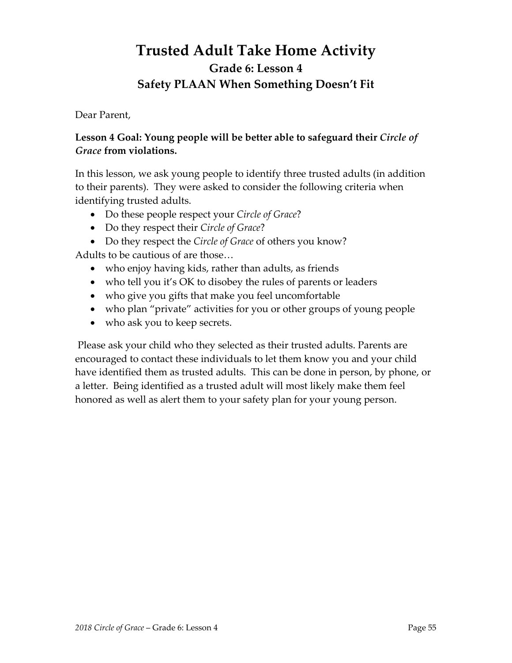# **Trusted Adult Take Home Activity Grade 6: Lesson 4 Safety PLAAN When Something Doesn't Fit**

Dear Parent,

#### **Lesson 4 Goal: Young people will be better able to safeguard their** *Circle of Grace* **from violations.**

In this lesson, we ask young people to identify three trusted adults (in addition to their parents). They were asked to consider the following criteria when identifying trusted adults.

- Do these people respect your *Circle of Grace*?
- Do they respect their *Circle of Grace*?
- Do they respect the *Circle of Grace* of others you know?

Adults to be cautious of are those…

- who enjoy having kids, rather than adults, as friends
- who tell you it's OK to disobey the rules of parents or leaders
- who give you gifts that make you feel uncomfortable
- who plan "private" activities for you or other groups of young people
- who ask you to keep secrets.

Please ask your child who they selected as their trusted adults. Parents are encouraged to contact these individuals to let them know you and your child have identified them as trusted adults. This can be done in person, by phone, or a letter. Being identified as a trusted adult will most likely make them feel honored as well as alert them to your safety plan for your young person.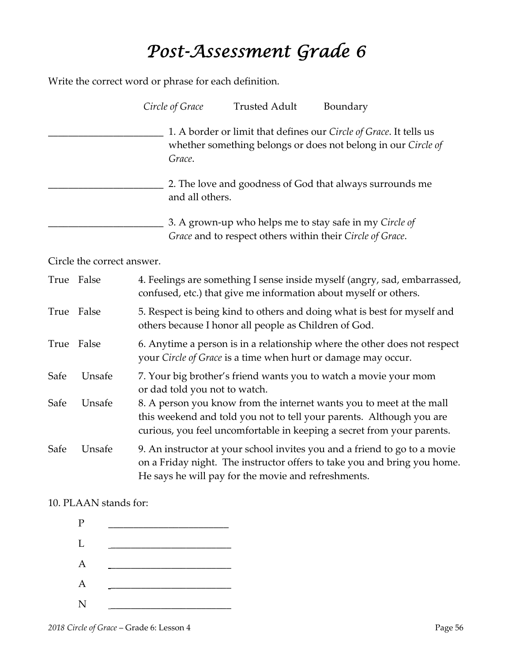# *Post-Assessment Grade 6*

Write the correct word or phrase for each definition.

|            |                            | Circle of Grace               | <b>Trusted Adult</b>                                                        | Boundary                                                                                                                                                                                                               |  |  |
|------------|----------------------------|-------------------------------|-----------------------------------------------------------------------------|------------------------------------------------------------------------------------------------------------------------------------------------------------------------------------------------------------------------|--|--|
|            |                            | Grace.                        |                                                                             | 1. A border or limit that defines our Circle of Grace. It tells us<br>whether something belongs or does not belong in our Circle of                                                                                    |  |  |
|            |                            |                               | 2. The love and goodness of God that always surrounds me<br>and all others. |                                                                                                                                                                                                                        |  |  |
|            |                            |                               | Grace and to respect others within their Circle of Grace.                   | 3. A grown-up who helps me to stay safe in my Circle of                                                                                                                                                                |  |  |
|            | Circle the correct answer. |                               |                                                                             |                                                                                                                                                                                                                        |  |  |
| True False |                            |                               |                                                                             | 4. Feelings are something I sense inside myself (angry, sad, embarrassed,<br>confused, etc.) that give me information about myself or others.                                                                          |  |  |
| True       | False                      |                               | others because I honor all people as Children of God.                       | 5. Respect is being kind to others and doing what is best for myself and                                                                                                                                               |  |  |
| True       | False                      |                               |                                                                             | 6. Anytime a person is in a relationship where the other does not respect<br>your Circle of Grace is a time when hurt or damage may occur.                                                                             |  |  |
| Safe       | Unsafe                     | or dad told you not to watch. |                                                                             | 7. Your big brother's friend wants you to watch a movie your mom                                                                                                                                                       |  |  |
| Safe       | Unsafe                     |                               |                                                                             | 8. A person you know from the internet wants you to meet at the mall<br>this weekend and told you not to tell your parents. Although you are<br>curious, you feel uncomfortable in keeping a secret from your parents. |  |  |
| Safe       | Unsafe                     |                               | He says he will pay for the movie and refreshments.                         | 9. An instructor at your school invites you and a friend to go to a movie<br>on a Friday night. The instructor offers to take you and bring you home.                                                                  |  |  |

#### 10. PLAAN stands for:

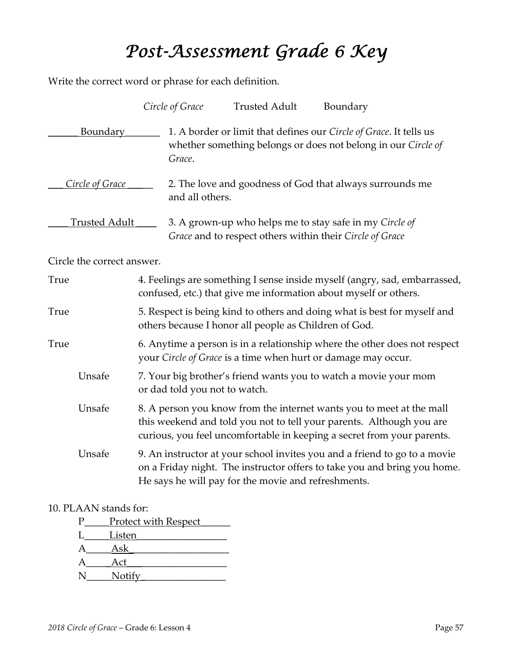# *Post-Assessment Grade 6 Key*

Write the correct word or phrase for each definition.

|                                                                                                |  | Circle of Grace               | <b>Trusted Adult</b>                                          | Boundary                                                                                                                                                                                                               |
|------------------------------------------------------------------------------------------------|--|-------------------------------|---------------------------------------------------------------|------------------------------------------------------------------------------------------------------------------------------------------------------------------------------------------------------------------------|
| Boundary                                                                                       |  | Grace.                        |                                                               | 1. A border or limit that defines our Circle of Grace. It tells us<br>whether something belongs or does not belong in our Circle of                                                                                    |
| Circle of Grace<br>2. The love and goodness of God that always surrounds me<br>and all others. |  |                               |                                                               |                                                                                                                                                                                                                        |
| <b>Trusted Adult</b>                                                                           |  |                               | Grace and to respect others within their Circle of Grace      | 3. A grown-up who helps me to stay safe in my Circle of                                                                                                                                                                |
| Circle the correct answer.                                                                     |  |                               |                                                               |                                                                                                                                                                                                                        |
| <b>True</b>                                                                                    |  |                               |                                                               | 4. Feelings are something I sense inside myself (angry, sad, embarrassed,<br>confused, etc.) that give me information about myself or others.                                                                          |
| <b>True</b>                                                                                    |  |                               | others because I honor all people as Children of God.         | 5. Respect is being kind to others and doing what is best for myself and                                                                                                                                               |
| <b>True</b>                                                                                    |  |                               | your Circle of Grace is a time when hurt or damage may occur. | 6. Anytime a person is in a relationship where the other does not respect                                                                                                                                              |
| Unsafe                                                                                         |  | or dad told you not to watch. |                                                               | 7. Your big brother's friend wants you to watch a movie your mom                                                                                                                                                       |
| Unsafe                                                                                         |  |                               |                                                               | 8. A person you know from the internet wants you to meet at the mall<br>this weekend and told you not to tell your parents. Although you are<br>curious, you feel uncomfortable in keeping a secret from your parents. |
| Unsafe                                                                                         |  |                               | He says he will pay for the movie and refreshments.           | 9. An instructor at your school invites you and a friend to go to a movie<br>on a Friday night. The instructor offers to take you and bring you home.                                                                  |

# 10. PLAAN stands for:

| <b>Protect with Respect</b> |  |
|-----------------------------|--|
| Listen                      |  |
| Ask                         |  |
| Act                         |  |
| Notify                      |  |
|                             |  |